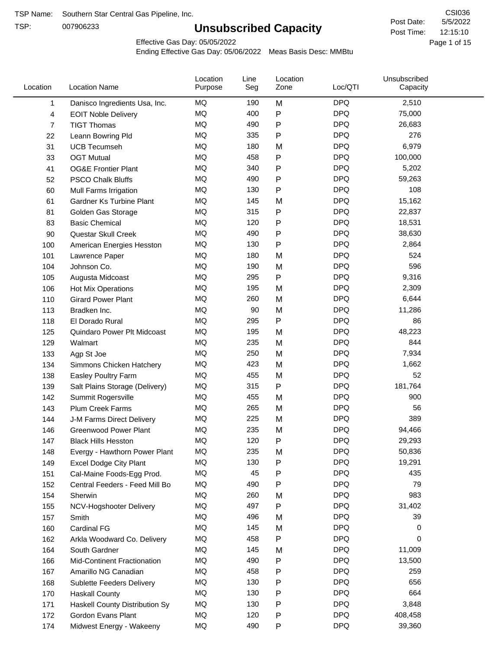TSP:

# **Unsubscribed Capacity**

5/5/2022 Page 1 of 15 12:15:10 CSI036 Post Date: Post Time:

Effective Gas Day: 05/05/2022

| Location       | <b>Location Name</b>            | Location<br>Purpose | Line<br>Seg | Location<br>Zone | Loc/QTI    | Unsubscribed<br>Capacity |  |
|----------------|---------------------------------|---------------------|-------------|------------------|------------|--------------------------|--|
| 1              | Danisco Ingredients Usa, Inc.   | MQ                  | 190         | M                | <b>DPQ</b> | 2,510                    |  |
| 4              | <b>EOIT Noble Delivery</b>      | <b>MQ</b>           | 400         | P                | <b>DPQ</b> | 75,000                   |  |
| $\overline{7}$ | <b>TIGT Thomas</b>              | <b>MQ</b>           | 490         | Ρ                | <b>DPQ</b> | 26,683                   |  |
| 22             | Leann Bowring Pld               | <b>MQ</b>           | 335         | P                | <b>DPQ</b> | 276                      |  |
| 31             | <b>UCB Tecumseh</b>             | <b>MQ</b>           | 180         | M                | <b>DPQ</b> | 6,979                    |  |
| 33             | <b>OGT Mutual</b>               | MQ                  | 458         | P                | <b>DPQ</b> | 100,000                  |  |
| 41             | <b>OG&amp;E Frontier Plant</b>  | MQ                  | 340         | P                | <b>DPQ</b> | 5,202                    |  |
| 52             | <b>PSCO Chalk Bluffs</b>        | <b>MQ</b>           | 490         | P                | <b>DPQ</b> | 59,263                   |  |
| 60             | Mull Farms Irrigation           | <b>MQ</b>           | 130         | P                | <b>DPQ</b> | 108                      |  |
| 61             | <b>Gardner Ks Turbine Plant</b> | <b>MQ</b>           | 145         | M                | <b>DPQ</b> | 15,162                   |  |
| 81             | Golden Gas Storage              | MQ                  | 315         | P                | <b>DPQ</b> | 22,837                   |  |
| 83             | <b>Basic Chemical</b>           | <b>MQ</b>           | 120         | Ρ                | <b>DPQ</b> | 18,531                   |  |
| 90             | Questar Skull Creek             | <b>MQ</b>           | 490         | P                | <b>DPQ</b> | 38,630                   |  |
| 100            | American Energies Hesston       | MQ                  | 130         | P                | <b>DPQ</b> | 2,864                    |  |
| 101            | Lawrence Paper                  | MQ                  | 180         | M                | <b>DPQ</b> | 524                      |  |
| 104            | Johnson Co.                     | MQ                  | 190         | M                | <b>DPQ</b> | 596                      |  |
| 105            | Augusta Midcoast                | <b>MQ</b>           | 295         | P                | <b>DPQ</b> | 9,316                    |  |
| 106            | Hot Mix Operations              | <b>MQ</b>           | 195         | M                | <b>DPQ</b> | 2,309                    |  |
| 110            | <b>Girard Power Plant</b>       | <b>MQ</b>           | 260         | M                | <b>DPQ</b> | 6,644                    |  |
| 113            | Bradken Inc.                    | MQ                  | 90          | M                | <b>DPQ</b> | 11,286                   |  |
| 118            | El Dorado Rural                 | MQ                  | 295         | P                | <b>DPQ</b> | 86                       |  |
| 125            | Quindaro Power Plt Midcoast     | <b>MQ</b>           | 195         | M                | <b>DPQ</b> | 48,223                   |  |
| 129            | Walmart                         | <b>MQ</b>           | 235         | M                | <b>DPQ</b> | 844                      |  |
| 133            | Agp St Joe                      | <b>MQ</b>           | 250         | M                | <b>DPQ</b> | 7,934                    |  |
| 134            | Simmons Chicken Hatchery        | <b>MQ</b>           | 423         | M                | <b>DPQ</b> | 1,662                    |  |
| 138            | Easley Poultry Farm             | MQ                  | 455         | M                | <b>DPQ</b> | 52                       |  |
| 139            | Salt Plains Storage (Delivery)  | <b>MQ</b>           | 315         | P                | <b>DPQ</b> | 181,764                  |  |
| 142            | Summit Rogersville              | MQ                  | 455         | M                | <b>DPQ</b> | 900                      |  |
| 143            | Plum Creek Farms                | MQ                  | 265         | M                | <b>DPQ</b> | 56                       |  |
| 144            | J-M Farms Direct Delivery       | MQ                  | 225         | M                | <b>DPQ</b> | 389                      |  |
| 146            | <b>Greenwood Power Plant</b>    | <b>MQ</b>           | 235         | M                | <b>DPQ</b> | 94,466                   |  |
| 147            | <b>Black Hills Hesston</b>      | MQ                  | 120         | Ρ                | <b>DPQ</b> | 29,293                   |  |
| 148            | Evergy - Hawthorn Power Plant   | MQ                  | 235         | M                | <b>DPQ</b> | 50,836                   |  |
| 149            | <b>Excel Dodge City Plant</b>   | MQ                  | 130         | Ρ                | <b>DPQ</b> | 19,291                   |  |
| 151            | Cal-Maine Foods-Egg Prod.       | MQ                  | 45          | Ρ                | <b>DPQ</b> | 435                      |  |
| 152            | Central Feeders - Feed Mill Bo  | MQ                  | 490         | Ρ                | <b>DPQ</b> | 79                       |  |
| 154            | Sherwin                         | MQ                  | 260         | M                | <b>DPQ</b> | 983                      |  |
| 155            | NCV-Hogshooter Delivery         | MQ                  | 497         | Ρ                | <b>DPQ</b> | 31,402                   |  |
| 157            | Smith                           | MQ                  | 496         | M                | <b>DPQ</b> | 39                       |  |
| 160            | <b>Cardinal FG</b>              | <b>MQ</b>           | 145         | M                | <b>DPQ</b> | 0                        |  |
| 162            | Arkla Woodward Co. Delivery     | MQ                  | 458         | P                | <b>DPQ</b> | 0                        |  |
| 164            | South Gardner                   | MQ                  | 145         | M                | <b>DPQ</b> | 11,009                   |  |
| 166            | Mid-Continent Fractionation     | MQ                  | 490         | Ρ                | <b>DPQ</b> | 13,500                   |  |
| 167            | Amarillo NG Canadian            | MQ                  | 458         | Ρ                | <b>DPQ</b> | 259                      |  |
| 168            | Sublette Feeders Delivery       | MQ                  | 130         | P                | <b>DPQ</b> | 656                      |  |
| 170            | <b>Haskall County</b>           | MQ                  | 130         | Ρ                | <b>DPQ</b> | 664                      |  |
| 171            | Haskell County Distribution Sy  | MQ                  | 130         | Ρ                | <b>DPQ</b> | 3,848                    |  |
| 172            | Gordon Evans Plant              | MQ                  | 120         | Ρ                | <b>DPQ</b> | 408,458                  |  |
| 174            | Midwest Energy - Wakeeny        | MQ                  | 490         | P                | <b>DPQ</b> | 39,360                   |  |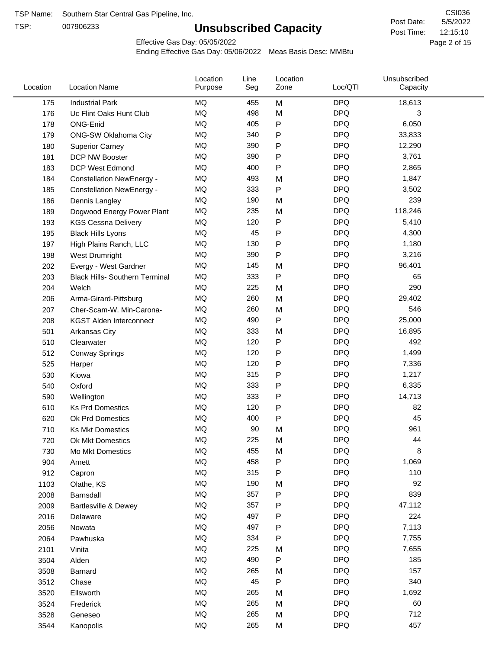TSP:

# **Unsubscribed Capacity**

5/5/2022 Page 2 of 15 12:15:10 CSI036 Post Date: Post Time:

Effective Gas Day: 05/05/2022

| Location | <b>Location Name</b>                  | Location<br>Purpose | Line<br>Seg | Location<br>Zone | Loc/QTI    | Unsubscribed<br>Capacity |  |
|----------|---------------------------------------|---------------------|-------------|------------------|------------|--------------------------|--|
| 175      | <b>Industrial Park</b>                | <b>MQ</b>           | 455         | M                | <b>DPQ</b> | 18,613                   |  |
| 176      | Uc Flint Oaks Hunt Club               | MQ                  | 498         | M                | <b>DPQ</b> | 3                        |  |
| 178      | ONG-Enid                              | MQ                  | 405         | P                | <b>DPQ</b> | 6,050                    |  |
| 179      | ONG-SW Oklahoma City                  | <b>MQ</b>           | 340         | P                | <b>DPQ</b> | 33,833                   |  |
| 180      | <b>Superior Carney</b>                | <b>MQ</b>           | 390         | Ρ                | <b>DPQ</b> | 12,290                   |  |
| 181      | DCP NW Booster                        | MQ                  | 390         | P                | <b>DPQ</b> | 3,761                    |  |
| 183      | <b>DCP West Edmond</b>                | MQ                  | 400         | P                | <b>DPQ</b> | 2,865                    |  |
| 184      | <b>Constellation NewEnergy -</b>      | <b>MQ</b>           | 493         | M                | <b>DPQ</b> | 1,847                    |  |
| 185      | <b>Constellation NewEnergy -</b>      | MQ                  | 333         | P                | <b>DPQ</b> | 3,502                    |  |
| 186      | Dennis Langley                        | MQ                  | 190         | M                | <b>DPQ</b> | 239                      |  |
| 189      | Dogwood Energy Power Plant            | <b>MQ</b>           | 235         | M                | <b>DPQ</b> | 118,246                  |  |
| 193      | <b>KGS Cessna Delivery</b>            | MQ                  | 120         | P                | <b>DPQ</b> | 5,410                    |  |
| 195      | <b>Black Hills Lyons</b>              | <b>MQ</b>           | 45          | P                | <b>DPQ</b> | 4,300                    |  |
| 197      | High Plains Ranch, LLC                | <b>MQ</b>           | 130         | Ρ                | <b>DPQ</b> | 1,180                    |  |
| 198      | West Drumright                        | <b>MQ</b>           | 390         | P                | <b>DPQ</b> | 3,216                    |  |
| 202      | Evergy - West Gardner                 | <b>MQ</b>           | 145         | M                | <b>DPQ</b> | 96,401                   |  |
| 203      | <b>Black Hills- Southern Terminal</b> | MQ                  | 333         | P                | <b>DPQ</b> | 65                       |  |
| 204      | Welch                                 | MQ                  | 225         | M                | <b>DPQ</b> | 290                      |  |
| 206      | Arma-Girard-Pittsburg                 | <b>MQ</b>           | 260         | M                | <b>DPQ</b> | 29,402                   |  |
| 207      | Cher-Scam-W. Min-Carona-              | MQ                  | 260         | M                | <b>DPQ</b> | 546                      |  |
| 208      | <b>KGST Alden Interconnect</b>        | <b>MQ</b>           | 490         | P                | <b>DPQ</b> | 25,000                   |  |
| 501      | <b>Arkansas City</b>                  | <b>MQ</b>           | 333         | M                | <b>DPQ</b> | 16,895                   |  |
| 510      | Clearwater                            | <b>MQ</b>           | 120         | Ρ                | <b>DPQ</b> | 492                      |  |
| 512      | <b>Conway Springs</b>                 | <b>MQ</b>           | 120         | P                | <b>DPQ</b> | 1,499                    |  |
| 525      | Harper                                | <b>MQ</b>           | 120         | P                | <b>DPQ</b> | 7,336                    |  |
| 530      | Kiowa                                 | <b>MQ</b>           | 315         | P                | <b>DPQ</b> | 1,217                    |  |
| 540      | Oxford                                | <b>MQ</b>           | 333         | Ρ                | <b>DPQ</b> | 6,335                    |  |
| 590      | Wellington                            | <b>MQ</b>           | 333         | Ρ                | <b>DPQ</b> | 14,713                   |  |
| 610      | <b>Ks Prd Domestics</b>               | <b>MQ</b>           | 120         | P                | <b>DPQ</b> | 82                       |  |
| 620      | Ok Prd Domestics                      | <b>MQ</b>           | 400         | P                | <b>DPQ</b> | 45                       |  |
| 710      | <b>Ks Mkt Domestics</b>               | <b>MQ</b>           | 90          | M                | <b>DPQ</b> | 961                      |  |
| 720      | <b>Ok Mkt Domestics</b>               | MQ                  | 225         | M                | <b>DPQ</b> | 44                       |  |
| 730      | Mo Mkt Domestics                      | MQ                  | 455         | M                | <b>DPQ</b> | 8                        |  |
| 904      | Arnett                                | MQ                  | 458         | P                | <b>DPQ</b> | 1,069                    |  |
| 912      | Capron                                | $\sf{MQ}$           | 315         | Ρ                | <b>DPQ</b> | 110                      |  |
| 1103     | Olathe, KS                            | $\sf{MQ}$           | 190         | M                | <b>DPQ</b> | 92                       |  |
| 2008     | Barnsdall                             | MQ                  | 357         | P                | <b>DPQ</b> | 839                      |  |
| 2009     | <b>Bartlesville &amp; Dewey</b>       | MQ                  | 357         | P                | <b>DPQ</b> | 47,112                   |  |
| 2016     | Delaware                              | MQ                  | 497         | Ρ                | <b>DPQ</b> | 224                      |  |
| 2056     | Nowata                                | $\sf{MQ}$           | 497         | Ρ                | <b>DPQ</b> | 7,113                    |  |
| 2064     | Pawhuska                              | $\sf{MQ}$           | 334         | Ρ                | <b>DPQ</b> | 7,755                    |  |
| 2101     | Vinita                                | MQ                  | 225         | M                | <b>DPQ</b> | 7,655                    |  |
| 3504     | Alden                                 | MQ                  | 490         | P                | <b>DPQ</b> | 185                      |  |
| 3508     | Barnard                               | $\sf{MQ}$           | 265         | M                | <b>DPQ</b> | 157                      |  |
| 3512     | Chase                                 | $\sf{MQ}$           | 45          | P                | <b>DPQ</b> | 340                      |  |
| 3520     | Ellsworth                             | MQ                  | 265         | M                | <b>DPQ</b> | 1,692                    |  |
| 3524     | Frederick                             | MQ                  | 265         | M                | <b>DPQ</b> | 60                       |  |
| 3528     | Geneseo                               | MQ                  | 265         | M                | <b>DPQ</b> | 712                      |  |
| 3544     | Kanopolis                             | $\sf{MQ}$           | 265         | M                | <b>DPQ</b> | 457                      |  |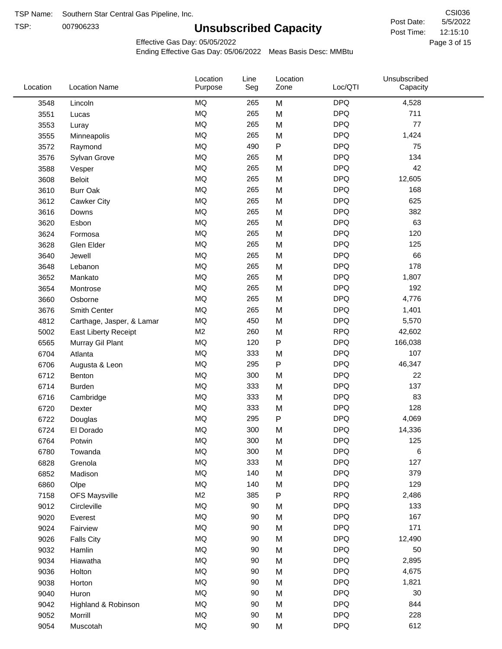TSP: 

# **Unsubscribed Capacity**

5/5/2022 Page 3 of 15 12:15:10 CSI036 Post Date: Post Time:

Effective Gas Day: 05/05/2022

| Location | <b>Location Name</b>      | Location<br>Purpose | Line<br>Seg | Location<br>Zone | Loc/QTI    | Unsubscribed<br>Capacity |  |
|----------|---------------------------|---------------------|-------------|------------------|------------|--------------------------|--|
| 3548     | Lincoln                   | <b>MQ</b>           | 265         | M                | <b>DPQ</b> | 4,528                    |  |
| 3551     | Lucas                     | <b>MQ</b>           | 265         | M                | <b>DPQ</b> | 711                      |  |
| 3553     | Luray                     | <b>MQ</b>           | 265         | M                | <b>DPQ</b> | 77                       |  |
| 3555     | Minneapolis               | <b>MQ</b>           | 265         | M                | <b>DPQ</b> | 1,424                    |  |
| 3572     | Raymond                   | <b>MQ</b>           | 490         | P                | <b>DPQ</b> | 75                       |  |
| 3576     | Sylvan Grove              | <b>MQ</b>           | 265         | M                | <b>DPQ</b> | 134                      |  |
| 3588     | Vesper                    | <b>MQ</b>           | 265         | M                | <b>DPQ</b> | 42                       |  |
| 3608     | Beloit                    | <b>MQ</b>           | 265         | M                | <b>DPQ</b> | 12,605                   |  |
| 3610     | <b>Burr Oak</b>           | <b>MQ</b>           | 265         | M                | <b>DPQ</b> | 168                      |  |
| 3612     | Cawker City               | <b>MQ</b>           | 265         | M                | <b>DPQ</b> | 625                      |  |
| 3616     | Downs                     | <b>MQ</b>           | 265         | M                | <b>DPQ</b> | 382                      |  |
| 3620     | Esbon                     | <b>MQ</b>           | 265         | M                | <b>DPQ</b> | 63                       |  |
| 3624     | Formosa                   | <b>MQ</b>           | 265         | M                | <b>DPQ</b> | 120                      |  |
| 3628     | Glen Elder                | <b>MQ</b>           | 265         | M                | <b>DPQ</b> | 125                      |  |
| 3640     | Jewell                    | <b>MQ</b>           | 265         | M                | <b>DPQ</b> | 66                       |  |
| 3648     | Lebanon                   | <b>MQ</b>           | 265         | M                | <b>DPQ</b> | 178                      |  |
| 3652     | Mankato                   | <b>MQ</b>           | 265         | M                | <b>DPQ</b> | 1,807                    |  |
| 3654     | Montrose                  | <b>MQ</b>           | 265         | M                | <b>DPQ</b> | 192                      |  |
| 3660     | Osborne                   | <b>MQ</b>           | 265         | M                | <b>DPQ</b> | 4,776                    |  |
| 3676     | Smith Center              | <b>MQ</b>           | 265         | M                | <b>DPQ</b> | 1,401                    |  |
| 4812     | Carthage, Jasper, & Lamar | <b>MQ</b>           | 450         | M                | <b>DPQ</b> | 5,570                    |  |
| 5002     | East Liberty Receipt      | M <sub>2</sub>      | 260         | M                | <b>RPQ</b> | 42,602                   |  |
| 6565     | Murray Gil Plant          | <b>MQ</b>           | 120         | P                | <b>DPQ</b> | 166,038                  |  |
| 6704     | Atlanta                   | <b>MQ</b>           | 333         | M                | <b>DPQ</b> | 107                      |  |
| 6706     | Augusta & Leon            | <b>MQ</b>           | 295         | P                | <b>DPQ</b> | 46,347                   |  |
| 6712     | Benton                    | <b>MQ</b>           | 300         | M                | <b>DPQ</b> | 22                       |  |
| 6714     | <b>Burden</b>             | <b>MQ</b>           | 333         | M                | <b>DPQ</b> | 137                      |  |
| 6716     | Cambridge                 | <b>MQ</b>           | 333         | M                | <b>DPQ</b> | 83                       |  |
| 6720     | Dexter                    | <b>MQ</b>           | 333         | M                | <b>DPQ</b> | 128                      |  |
| 6722     | Douglas                   | <b>MQ</b>           | 295         | P                | <b>DPQ</b> | 4,069                    |  |
| 6724     | El Dorado                 | <b>MQ</b>           | 300         | M                | <b>DPQ</b> | 14,336                   |  |
| 6764     | Potwin                    | <b>MQ</b>           | 300         | M                | <b>DPQ</b> | 125                      |  |
| 6780     | Towanda                   | MQ                  | 300         | M                | <b>DPQ</b> | 6                        |  |
| 6828     | Grenola                   | MQ                  | 333         | M                | <b>DPQ</b> | 127                      |  |
| 6852     | Madison                   | <b>MQ</b>           | 140         | M                | <b>DPQ</b> | 379                      |  |
| 6860     | Olpe                      | <b>MQ</b>           | 140         | M                | <b>DPQ</b> | 129                      |  |
| 7158     | <b>OFS Maysville</b>      | M <sub>2</sub>      | 385         | P                | <b>RPQ</b> | 2,486                    |  |
| 9012     | Circleville               | <b>MQ</b>           | 90          | M                | <b>DPQ</b> | 133                      |  |
| 9020     | Everest                   | $\sf{MQ}$           | 90          | M                | <b>DPQ</b> | 167                      |  |
| 9024     | Fairview                  | MQ                  | 90          | M                | <b>DPQ</b> | 171                      |  |
| 9026     | <b>Falls City</b>         | MQ                  | 90          | M                | <b>DPQ</b> | 12,490                   |  |
| 9032     | Hamlin                    | MQ                  | 90          | M                | <b>DPQ</b> | 50                       |  |
| 9034     | Hiawatha                  | MQ                  | $90\,$      | M                | <b>DPQ</b> | 2,895                    |  |
| 9036     | Holton                    | <b>MQ</b>           | $90\,$      | M                | <b>DPQ</b> | 4,675                    |  |
| 9038     | Horton                    | <b>MQ</b>           | 90          | M                | <b>DPQ</b> | 1,821                    |  |
| 9040     | Huron                     | MQ                  | 90          | M                | <b>DPQ</b> | 30                       |  |
| 9042     | Highland & Robinson       | MQ                  | 90          | M                | <b>DPQ</b> | 844                      |  |
| 9052     | Morrill                   | $\sf{MQ}$           | 90          | M                | <b>DPQ</b> | 228                      |  |
| 9054     | Muscotah                  | $\sf{MQ}$           | 90          | M                | <b>DPQ</b> | 612                      |  |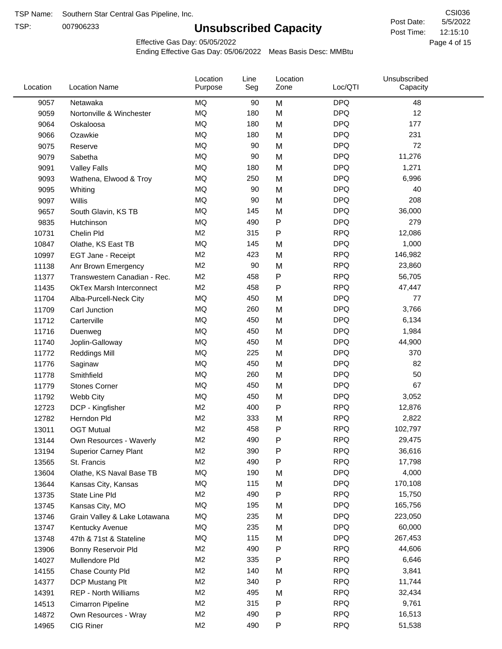TSP:

# **Unsubscribed Capacity**

Effective Gas Day: 05/05/2022

| Location | <b>Location Name</b>            | Location<br>Purpose | Line<br>Seg | Location<br>Zone | Loc/QTI    | Unsubscribed<br>Capacity |  |
|----------|---------------------------------|---------------------|-------------|------------------|------------|--------------------------|--|
| 9057     | Netawaka                        | MQ                  | 90          | M                | <b>DPQ</b> | 48                       |  |
| 9059     | Nortonville & Winchester        | <b>MQ</b>           | 180         | M                | <b>DPQ</b> | 12                       |  |
| 9064     | Oskaloosa                       | MQ                  | 180         | M                | <b>DPQ</b> | 177                      |  |
| 9066     | Ozawkie                         | <b>MQ</b>           | 180         | M                | <b>DPQ</b> | 231                      |  |
| 9075     | Reserve                         | <b>MQ</b>           | 90          | M                | <b>DPQ</b> | 72                       |  |
| 9079     | Sabetha                         | <b>MQ</b>           | 90          | M                | <b>DPQ</b> | 11,276                   |  |
| 9091     | <b>Valley Falls</b>             | <b>MQ</b>           | 180         | M                | <b>DPQ</b> | 1,271                    |  |
| 9093     | Wathena, Elwood & Troy          | <b>MQ</b>           | 250         | M                | <b>DPQ</b> | 6,996                    |  |
| 9095     | Whiting                         | MQ                  | 90          | M                | <b>DPQ</b> | 40                       |  |
| 9097     | Willis                          | <b>MQ</b>           | 90          | M                | <b>DPQ</b> | 208                      |  |
| 9657     | South Glavin, KS TB             | <b>MQ</b>           | 145         | M                | <b>DPQ</b> | 36,000                   |  |
| 9835     | Hutchinson                      | MQ                  | 490         | P                | <b>DPQ</b> | 279                      |  |
| 10731    | Chelin Pld                      | M <sub>2</sub>      | 315         | P                | <b>RPQ</b> | 12,086                   |  |
| 10847    | Olathe, KS East TB              | <b>MQ</b>           | 145         | M                | <b>DPQ</b> | 1,000                    |  |
| 10997    | EGT Jane - Receipt              | M <sub>2</sub>      | 423         | M                | <b>RPQ</b> | 146,982                  |  |
| 11138    | Anr Brown Emergency             | M <sub>2</sub>      | 90          | M                | <b>RPQ</b> | 23,860                   |  |
| 11377    | Transwestern Canadian - Rec.    | M <sub>2</sub>      | 458         | P                | <b>RPQ</b> | 56,705                   |  |
| 11435    | <b>OkTex Marsh Interconnect</b> | M <sub>2</sub>      | 458         | P                | <b>RPQ</b> | 47,447                   |  |
| 11704    | Alba-Purcell-Neck City          | <b>MQ</b>           | 450         | M                | <b>DPQ</b> | 77                       |  |
| 11709    | Carl Junction                   | <b>MQ</b>           | 260         | M                | <b>DPQ</b> | 3,766                    |  |
| 11712    | Carterville                     | <b>MQ</b>           | 450         | M                | <b>DPQ</b> | 6,134                    |  |
| 11716    | Duenweg                         | <b>MQ</b>           | 450         | M                | <b>DPQ</b> | 1,984                    |  |
| 11740    | Joplin-Galloway                 | <b>MQ</b>           | 450         | M                | <b>DPQ</b> | 44,900                   |  |
| 11772    | <b>Reddings Mill</b>            | <b>MQ</b>           | 225         | M                | <b>DPQ</b> | 370                      |  |
| 11776    | Saginaw                         | <b>MQ</b>           | 450         | M                | <b>DPQ</b> | 82                       |  |
| 11778    | Smithfield                      | <b>MQ</b>           | 260         | M                | <b>DPQ</b> | 50                       |  |
| 11779    | <b>Stones Corner</b>            | <b>MQ</b>           | 450         | M                | <b>DPQ</b> | 67                       |  |
| 11792    | Webb City                       | <b>MQ</b>           | 450         | M                | <b>DPQ</b> | 3,052                    |  |
| 12723    | DCP - Kingfisher                | M <sub>2</sub>      | 400         | P                | <b>RPQ</b> | 12,876                   |  |
| 12782    | Herndon Pld                     | M <sub>2</sub>      | 333         | M                | <b>RPQ</b> | 2,822                    |  |
| 13011    | <b>OGT Mutual</b>               | M <sub>2</sub>      | 458         | P                | <b>RPQ</b> | 102,797                  |  |
| 13144    | Own Resources - Waverly         | M <sub>2</sub>      | 490         | P                | <b>RPQ</b> | 29,475                   |  |
| 13194    | <b>Superior Carney Plant</b>    | M <sub>2</sub>      | 390         | P                | <b>RPQ</b> | 36,616                   |  |
| 13565    | St. Francis                     | M <sub>2</sub>      | 490         | P                | <b>RPQ</b> | 17,798                   |  |
| 13604    | Olathe, KS Naval Base TB        | MQ                  | 190         | M                | <b>DPQ</b> | 4,000                    |  |
| 13644    | Kansas City, Kansas             | MQ                  | 115         | M                | <b>DPQ</b> | 170,108                  |  |
| 13735    | State Line Pld                  | M <sub>2</sub>      | 490         | P                | <b>RPQ</b> | 15,750                   |  |
| 13745    | Kansas City, MO                 | MQ                  | 195         | M                | <b>DPQ</b> | 165,756                  |  |
| 13746    | Grain Valley & Lake Lotawana    | MQ                  | 235         | M                | <b>DPQ</b> | 223,050                  |  |
| 13747    | Kentucky Avenue                 | MQ                  | 235         | M                | <b>DPQ</b> | 60,000                   |  |
| 13748    | 47th & 71st & Stateline         | MQ                  | 115         | M                | <b>DPQ</b> | 267,453                  |  |
| 13906    | Bonny Reservoir Pld             | M <sub>2</sub>      | 490         | Ρ                | <b>RPQ</b> | 44,606                   |  |
| 14027    | Mullendore Pld                  | M <sub>2</sub>      | 335         | Ρ                | <b>RPQ</b> | 6,646                    |  |
| 14155    | Chase County Pld                | M <sub>2</sub>      | 140         | M                | <b>RPQ</b> | 3,841                    |  |
| 14377    | DCP Mustang Plt                 | M <sub>2</sub>      | 340         | Ρ                | <b>RPQ</b> | 11,744                   |  |
| 14391    | REP - North Williams            | M <sub>2</sub>      | 495         | M                | <b>RPQ</b> | 32,434                   |  |
| 14513    | Cimarron Pipeline               | M <sub>2</sub>      | 315         | P                | <b>RPQ</b> | 9,761                    |  |
| 14872    | Own Resources - Wray            | M <sub>2</sub>      | 490         | P                | <b>RPQ</b> | 16,513                   |  |
| 14965    | CIG Riner                       | M <sub>2</sub>      | 490         | P                | <b>RPQ</b> | 51,538                   |  |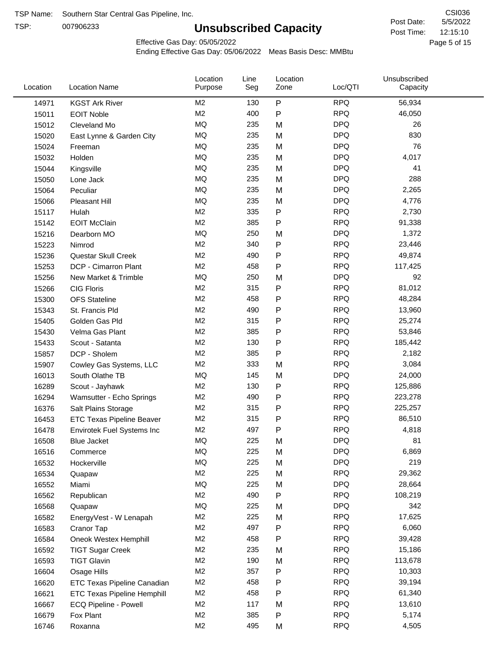TSP:

# **Unsubscribed Capacity**

5/5/2022 Page 5 of 15 12:15:10 CSI036 Post Date: Post Time:

Effective Gas Day: 05/05/2022

| $\mathsf{P}$<br><b>RPQ</b><br>M2<br>56,934<br>130<br>14971<br><b>KGST Ark River</b><br>M <sub>2</sub><br>400<br>P<br><b>RPQ</b><br>46,050<br>15011<br><b>EOIT Noble</b><br><b>MQ</b><br><b>DPQ</b><br>235<br>26<br>15012<br>M<br>Cleveland Mo<br><b>MQ</b><br><b>DPQ</b><br>830<br>235<br>15020<br>M<br>East Lynne & Garden City<br><b>MQ</b><br><b>DPQ</b><br>76<br>235<br>M<br>15024<br>Freeman<br><b>MQ</b><br><b>DPQ</b><br>235<br>4,017<br>M<br>15032<br>Holden<br>MQ<br><b>DPQ</b><br>235<br>41<br>M<br>15044<br>Kingsville<br><b>MQ</b><br>288<br>235<br><b>DPQ</b><br>15050<br>Lone Jack<br>M<br><b>MQ</b><br><b>DPQ</b><br>235<br>2,265<br>15064<br>Peculiar<br>M<br><b>MQ</b><br><b>DPQ</b><br>235<br>M<br>4,776<br>15066<br>Pleasant Hill<br>M <sub>2</sub><br>335<br><b>RPQ</b><br>2,730<br>P<br>15117<br>Hulah<br>M <sub>2</sub><br>P<br><b>RPQ</b><br>385<br>91,338<br><b>EOIT McClain</b><br>15142<br>MQ<br>250<br><b>DPQ</b><br>1,372<br>15216<br>Dearborn MO<br>M<br>M <sub>2</sub><br>P<br><b>RPQ</b><br>340<br>23,446<br>15223<br>Nimrod<br>M <sub>2</sub><br>P<br><b>RPQ</b><br>49,874<br>Questar Skull Creek<br>490<br>15236<br><b>RPQ</b><br>M <sub>2</sub><br>P<br>DCP - Cimarron Plant<br>458<br>117,425<br>15253<br><b>MQ</b><br><b>DPQ</b><br>250<br>92<br>15256<br>New Market & Trimble<br>M<br>M <sub>2</sub><br><b>RPQ</b><br>315<br>P<br>81,012<br><b>CIG Floris</b><br>15266<br>M <sub>2</sub><br><b>RPQ</b><br>458<br>P<br>48,284<br>15300<br><b>OFS Stateline</b><br>P<br>M <sub>2</sub><br>490<br><b>RPQ</b><br>13,960<br>15343<br>St. Francis Pld<br>M <sub>2</sub><br>315<br>P<br><b>RPQ</b><br>25,274<br>Golden Gas Pld<br>15405<br>M <sub>2</sub><br>385<br>P<br><b>RPQ</b><br>53,846<br>15430<br>Velma Gas Plant<br><b>RPQ</b><br>M <sub>2</sub><br>130<br>P<br>185,442<br>Scout - Satanta<br>15433<br>M <sub>2</sub><br>P<br><b>RPQ</b><br>385<br>2,182<br>15857<br>DCP - Sholem<br><b>RPQ</b><br>M <sub>2</sub><br>333<br>3,084<br>M<br>15907<br>Cowley Gas Systems, LLC<br><b>DPQ</b><br>MQ<br>145<br>24,000<br>M<br>16013<br>South Olathe TB<br><b>RPQ</b><br>M2<br>130<br>P<br>125,886<br>16289<br>Scout - Jayhawk<br><b>RPQ</b><br>M <sub>2</sub><br>490<br>P<br>223,278<br>16294<br>Wamsutter - Echo Springs<br>P<br>M <sub>2</sub><br>315<br><b>RPQ</b><br>225,257<br>16376<br>Salt Plains Storage<br>M <sub>2</sub><br>P<br><b>RPQ</b><br>86,510<br>315<br>16453<br><b>ETC Texas Pipeline Beaver</b><br>M <sub>2</sub><br>P<br><b>RPQ</b><br>497<br>4,818<br>16478<br>Envirotek Fuel Systems Inc<br>MQ<br>225<br><b>DPQ</b><br>16508<br>81<br>M<br><b>Blue Jacket</b><br><b>DPQ</b><br>6,869<br>ΜQ<br>225<br>M<br>16516<br>Commerce<br>MQ<br>219<br>225<br><b>DPQ</b><br>16532<br>M<br>Hockerville<br>M <sub>2</sub><br>225<br><b>RPQ</b><br>29,362<br>M<br>16534<br>Quapaw<br>MQ<br>225<br><b>DPQ</b><br>28,664<br>16552<br>M<br>Miami<br>M <sub>2</sub><br>${\sf P}$<br>490<br><b>RPQ</b><br>108,219<br>16562<br>Republican<br>MQ<br><b>DPQ</b><br>342<br>225<br>16568<br>M<br>Quapaw<br>M <sub>2</sub><br>225<br><b>RPQ</b><br>17,625<br>M<br>16582<br>EnergyVest - W Lenapah<br><b>RPQ</b><br>M <sub>2</sub><br>497<br>6,060<br>16583<br>Ρ<br>Cranor Tap<br>M <sub>2</sub><br>458<br><b>RPQ</b><br>39,428<br>16584<br>Oneok Westex Hemphill<br>P<br><b>RPQ</b><br>M <sub>2</sub><br>235<br>16592<br>M<br>15,186<br><b>TIGT Sugar Creek</b><br>M <sub>2</sub><br>190<br><b>RPQ</b><br>113,678<br><b>TIGT Glavin</b><br>16593<br>M<br>M <sub>2</sub><br>357<br>P<br><b>RPQ</b><br>10,303<br>16604<br>Osage Hills<br>M <sub>2</sub><br>458<br><b>RPQ</b><br>P<br>39,194<br>16620<br>ETC Texas Pipeline Canadian<br><b>RPQ</b><br>M <sub>2</sub><br>458<br>P<br>61,340<br>16621<br><b>ETC Texas Pipeline Hemphill</b><br>M <sub>2</sub><br>117<br><b>RPQ</b><br>13,610<br>16667<br>ECQ Pipeline - Powell<br>M<br>M <sub>2</sub><br>385<br><b>RPQ</b><br>5,174<br>P<br>16679<br>Fox Plant<br><b>RPQ</b><br>M <sub>2</sub><br>495<br>4,505<br>16746<br>Roxanna<br>M | Location | <b>Location Name</b> | Location<br>Purpose | Line<br>Seg | Location<br>Zone | Loc/QTI | Unsubscribed<br>Capacity |  |
|-------------------------------------------------------------------------------------------------------------------------------------------------------------------------------------------------------------------------------------------------------------------------------------------------------------------------------------------------------------------------------------------------------------------------------------------------------------------------------------------------------------------------------------------------------------------------------------------------------------------------------------------------------------------------------------------------------------------------------------------------------------------------------------------------------------------------------------------------------------------------------------------------------------------------------------------------------------------------------------------------------------------------------------------------------------------------------------------------------------------------------------------------------------------------------------------------------------------------------------------------------------------------------------------------------------------------------------------------------------------------------------------------------------------------------------------------------------------------------------------------------------------------------------------------------------------------------------------------------------------------------------------------------------------------------------------------------------------------------------------------------------------------------------------------------------------------------------------------------------------------------------------------------------------------------------------------------------------------------------------------------------------------------------------------------------------------------------------------------------------------------------------------------------------------------------------------------------------------------------------------------------------------------------------------------------------------------------------------------------------------------------------------------------------------------------------------------------------------------------------------------------------------------------------------------------------------------------------------------------------------------------------------------------------------------------------------------------------------------------------------------------------------------------------------------------------------------------------------------------------------------------------------------------------------------------------------------------------------------------------------------------------------------------------------------------------------------------------------------------------------------------------------------------------------------------------------------------------------------------------------------------------------------------------------------------------------------------------------------------------------------------------------------------------------------------------------------------------------------------------------------------------------------------------------------------------------------------------------------------------------------------------------------------------------------------------------------------------------------------------------------------------------------------------------------------------------------------------------------------------------------------------------------------------------------------------------------------------------------------------------------------------|----------|----------------------|---------------------|-------------|------------------|---------|--------------------------|--|
|                                                                                                                                                                                                                                                                                                                                                                                                                                                                                                                                                                                                                                                                                                                                                                                                                                                                                                                                                                                                                                                                                                                                                                                                                                                                                                                                                                                                                                                                                                                                                                                                                                                                                                                                                                                                                                                                                                                                                                                                                                                                                                                                                                                                                                                                                                                                                                                                                                                                                                                                                                                                                                                                                                                                                                                                                                                                                                                                                                                                                                                                                                                                                                                                                                                                                                                                                                                                                                                                                                                                                                                                                                                                                                                                                                                                                                                                                                                                                                                                                   |          |                      |                     |             |                  |         |                          |  |
|                                                                                                                                                                                                                                                                                                                                                                                                                                                                                                                                                                                                                                                                                                                                                                                                                                                                                                                                                                                                                                                                                                                                                                                                                                                                                                                                                                                                                                                                                                                                                                                                                                                                                                                                                                                                                                                                                                                                                                                                                                                                                                                                                                                                                                                                                                                                                                                                                                                                                                                                                                                                                                                                                                                                                                                                                                                                                                                                                                                                                                                                                                                                                                                                                                                                                                                                                                                                                                                                                                                                                                                                                                                                                                                                                                                                                                                                                                                                                                                                                   |          |                      |                     |             |                  |         |                          |  |
|                                                                                                                                                                                                                                                                                                                                                                                                                                                                                                                                                                                                                                                                                                                                                                                                                                                                                                                                                                                                                                                                                                                                                                                                                                                                                                                                                                                                                                                                                                                                                                                                                                                                                                                                                                                                                                                                                                                                                                                                                                                                                                                                                                                                                                                                                                                                                                                                                                                                                                                                                                                                                                                                                                                                                                                                                                                                                                                                                                                                                                                                                                                                                                                                                                                                                                                                                                                                                                                                                                                                                                                                                                                                                                                                                                                                                                                                                                                                                                                                                   |          |                      |                     |             |                  |         |                          |  |
|                                                                                                                                                                                                                                                                                                                                                                                                                                                                                                                                                                                                                                                                                                                                                                                                                                                                                                                                                                                                                                                                                                                                                                                                                                                                                                                                                                                                                                                                                                                                                                                                                                                                                                                                                                                                                                                                                                                                                                                                                                                                                                                                                                                                                                                                                                                                                                                                                                                                                                                                                                                                                                                                                                                                                                                                                                                                                                                                                                                                                                                                                                                                                                                                                                                                                                                                                                                                                                                                                                                                                                                                                                                                                                                                                                                                                                                                                                                                                                                                                   |          |                      |                     |             |                  |         |                          |  |
|                                                                                                                                                                                                                                                                                                                                                                                                                                                                                                                                                                                                                                                                                                                                                                                                                                                                                                                                                                                                                                                                                                                                                                                                                                                                                                                                                                                                                                                                                                                                                                                                                                                                                                                                                                                                                                                                                                                                                                                                                                                                                                                                                                                                                                                                                                                                                                                                                                                                                                                                                                                                                                                                                                                                                                                                                                                                                                                                                                                                                                                                                                                                                                                                                                                                                                                                                                                                                                                                                                                                                                                                                                                                                                                                                                                                                                                                                                                                                                                                                   |          |                      |                     |             |                  |         |                          |  |
|                                                                                                                                                                                                                                                                                                                                                                                                                                                                                                                                                                                                                                                                                                                                                                                                                                                                                                                                                                                                                                                                                                                                                                                                                                                                                                                                                                                                                                                                                                                                                                                                                                                                                                                                                                                                                                                                                                                                                                                                                                                                                                                                                                                                                                                                                                                                                                                                                                                                                                                                                                                                                                                                                                                                                                                                                                                                                                                                                                                                                                                                                                                                                                                                                                                                                                                                                                                                                                                                                                                                                                                                                                                                                                                                                                                                                                                                                                                                                                                                                   |          |                      |                     |             |                  |         |                          |  |
|                                                                                                                                                                                                                                                                                                                                                                                                                                                                                                                                                                                                                                                                                                                                                                                                                                                                                                                                                                                                                                                                                                                                                                                                                                                                                                                                                                                                                                                                                                                                                                                                                                                                                                                                                                                                                                                                                                                                                                                                                                                                                                                                                                                                                                                                                                                                                                                                                                                                                                                                                                                                                                                                                                                                                                                                                                                                                                                                                                                                                                                                                                                                                                                                                                                                                                                                                                                                                                                                                                                                                                                                                                                                                                                                                                                                                                                                                                                                                                                                                   |          |                      |                     |             |                  |         |                          |  |
|                                                                                                                                                                                                                                                                                                                                                                                                                                                                                                                                                                                                                                                                                                                                                                                                                                                                                                                                                                                                                                                                                                                                                                                                                                                                                                                                                                                                                                                                                                                                                                                                                                                                                                                                                                                                                                                                                                                                                                                                                                                                                                                                                                                                                                                                                                                                                                                                                                                                                                                                                                                                                                                                                                                                                                                                                                                                                                                                                                                                                                                                                                                                                                                                                                                                                                                                                                                                                                                                                                                                                                                                                                                                                                                                                                                                                                                                                                                                                                                                                   |          |                      |                     |             |                  |         |                          |  |
|                                                                                                                                                                                                                                                                                                                                                                                                                                                                                                                                                                                                                                                                                                                                                                                                                                                                                                                                                                                                                                                                                                                                                                                                                                                                                                                                                                                                                                                                                                                                                                                                                                                                                                                                                                                                                                                                                                                                                                                                                                                                                                                                                                                                                                                                                                                                                                                                                                                                                                                                                                                                                                                                                                                                                                                                                                                                                                                                                                                                                                                                                                                                                                                                                                                                                                                                                                                                                                                                                                                                                                                                                                                                                                                                                                                                                                                                                                                                                                                                                   |          |                      |                     |             |                  |         |                          |  |
|                                                                                                                                                                                                                                                                                                                                                                                                                                                                                                                                                                                                                                                                                                                                                                                                                                                                                                                                                                                                                                                                                                                                                                                                                                                                                                                                                                                                                                                                                                                                                                                                                                                                                                                                                                                                                                                                                                                                                                                                                                                                                                                                                                                                                                                                                                                                                                                                                                                                                                                                                                                                                                                                                                                                                                                                                                                                                                                                                                                                                                                                                                                                                                                                                                                                                                                                                                                                                                                                                                                                                                                                                                                                                                                                                                                                                                                                                                                                                                                                                   |          |                      |                     |             |                  |         |                          |  |
|                                                                                                                                                                                                                                                                                                                                                                                                                                                                                                                                                                                                                                                                                                                                                                                                                                                                                                                                                                                                                                                                                                                                                                                                                                                                                                                                                                                                                                                                                                                                                                                                                                                                                                                                                                                                                                                                                                                                                                                                                                                                                                                                                                                                                                                                                                                                                                                                                                                                                                                                                                                                                                                                                                                                                                                                                                                                                                                                                                                                                                                                                                                                                                                                                                                                                                                                                                                                                                                                                                                                                                                                                                                                                                                                                                                                                                                                                                                                                                                                                   |          |                      |                     |             |                  |         |                          |  |
|                                                                                                                                                                                                                                                                                                                                                                                                                                                                                                                                                                                                                                                                                                                                                                                                                                                                                                                                                                                                                                                                                                                                                                                                                                                                                                                                                                                                                                                                                                                                                                                                                                                                                                                                                                                                                                                                                                                                                                                                                                                                                                                                                                                                                                                                                                                                                                                                                                                                                                                                                                                                                                                                                                                                                                                                                                                                                                                                                                                                                                                                                                                                                                                                                                                                                                                                                                                                                                                                                                                                                                                                                                                                                                                                                                                                                                                                                                                                                                                                                   |          |                      |                     |             |                  |         |                          |  |
|                                                                                                                                                                                                                                                                                                                                                                                                                                                                                                                                                                                                                                                                                                                                                                                                                                                                                                                                                                                                                                                                                                                                                                                                                                                                                                                                                                                                                                                                                                                                                                                                                                                                                                                                                                                                                                                                                                                                                                                                                                                                                                                                                                                                                                                                                                                                                                                                                                                                                                                                                                                                                                                                                                                                                                                                                                                                                                                                                                                                                                                                                                                                                                                                                                                                                                                                                                                                                                                                                                                                                                                                                                                                                                                                                                                                                                                                                                                                                                                                                   |          |                      |                     |             |                  |         |                          |  |
|                                                                                                                                                                                                                                                                                                                                                                                                                                                                                                                                                                                                                                                                                                                                                                                                                                                                                                                                                                                                                                                                                                                                                                                                                                                                                                                                                                                                                                                                                                                                                                                                                                                                                                                                                                                                                                                                                                                                                                                                                                                                                                                                                                                                                                                                                                                                                                                                                                                                                                                                                                                                                                                                                                                                                                                                                                                                                                                                                                                                                                                                                                                                                                                                                                                                                                                                                                                                                                                                                                                                                                                                                                                                                                                                                                                                                                                                                                                                                                                                                   |          |                      |                     |             |                  |         |                          |  |
|                                                                                                                                                                                                                                                                                                                                                                                                                                                                                                                                                                                                                                                                                                                                                                                                                                                                                                                                                                                                                                                                                                                                                                                                                                                                                                                                                                                                                                                                                                                                                                                                                                                                                                                                                                                                                                                                                                                                                                                                                                                                                                                                                                                                                                                                                                                                                                                                                                                                                                                                                                                                                                                                                                                                                                                                                                                                                                                                                                                                                                                                                                                                                                                                                                                                                                                                                                                                                                                                                                                                                                                                                                                                                                                                                                                                                                                                                                                                                                                                                   |          |                      |                     |             |                  |         |                          |  |
|                                                                                                                                                                                                                                                                                                                                                                                                                                                                                                                                                                                                                                                                                                                                                                                                                                                                                                                                                                                                                                                                                                                                                                                                                                                                                                                                                                                                                                                                                                                                                                                                                                                                                                                                                                                                                                                                                                                                                                                                                                                                                                                                                                                                                                                                                                                                                                                                                                                                                                                                                                                                                                                                                                                                                                                                                                                                                                                                                                                                                                                                                                                                                                                                                                                                                                                                                                                                                                                                                                                                                                                                                                                                                                                                                                                                                                                                                                                                                                                                                   |          |                      |                     |             |                  |         |                          |  |
|                                                                                                                                                                                                                                                                                                                                                                                                                                                                                                                                                                                                                                                                                                                                                                                                                                                                                                                                                                                                                                                                                                                                                                                                                                                                                                                                                                                                                                                                                                                                                                                                                                                                                                                                                                                                                                                                                                                                                                                                                                                                                                                                                                                                                                                                                                                                                                                                                                                                                                                                                                                                                                                                                                                                                                                                                                                                                                                                                                                                                                                                                                                                                                                                                                                                                                                                                                                                                                                                                                                                                                                                                                                                                                                                                                                                                                                                                                                                                                                                                   |          |                      |                     |             |                  |         |                          |  |
|                                                                                                                                                                                                                                                                                                                                                                                                                                                                                                                                                                                                                                                                                                                                                                                                                                                                                                                                                                                                                                                                                                                                                                                                                                                                                                                                                                                                                                                                                                                                                                                                                                                                                                                                                                                                                                                                                                                                                                                                                                                                                                                                                                                                                                                                                                                                                                                                                                                                                                                                                                                                                                                                                                                                                                                                                                                                                                                                                                                                                                                                                                                                                                                                                                                                                                                                                                                                                                                                                                                                                                                                                                                                                                                                                                                                                                                                                                                                                                                                                   |          |                      |                     |             |                  |         |                          |  |
|                                                                                                                                                                                                                                                                                                                                                                                                                                                                                                                                                                                                                                                                                                                                                                                                                                                                                                                                                                                                                                                                                                                                                                                                                                                                                                                                                                                                                                                                                                                                                                                                                                                                                                                                                                                                                                                                                                                                                                                                                                                                                                                                                                                                                                                                                                                                                                                                                                                                                                                                                                                                                                                                                                                                                                                                                                                                                                                                                                                                                                                                                                                                                                                                                                                                                                                                                                                                                                                                                                                                                                                                                                                                                                                                                                                                                                                                                                                                                                                                                   |          |                      |                     |             |                  |         |                          |  |
|                                                                                                                                                                                                                                                                                                                                                                                                                                                                                                                                                                                                                                                                                                                                                                                                                                                                                                                                                                                                                                                                                                                                                                                                                                                                                                                                                                                                                                                                                                                                                                                                                                                                                                                                                                                                                                                                                                                                                                                                                                                                                                                                                                                                                                                                                                                                                                                                                                                                                                                                                                                                                                                                                                                                                                                                                                                                                                                                                                                                                                                                                                                                                                                                                                                                                                                                                                                                                                                                                                                                                                                                                                                                                                                                                                                                                                                                                                                                                                                                                   |          |                      |                     |             |                  |         |                          |  |
|                                                                                                                                                                                                                                                                                                                                                                                                                                                                                                                                                                                                                                                                                                                                                                                                                                                                                                                                                                                                                                                                                                                                                                                                                                                                                                                                                                                                                                                                                                                                                                                                                                                                                                                                                                                                                                                                                                                                                                                                                                                                                                                                                                                                                                                                                                                                                                                                                                                                                                                                                                                                                                                                                                                                                                                                                                                                                                                                                                                                                                                                                                                                                                                                                                                                                                                                                                                                                                                                                                                                                                                                                                                                                                                                                                                                                                                                                                                                                                                                                   |          |                      |                     |             |                  |         |                          |  |
|                                                                                                                                                                                                                                                                                                                                                                                                                                                                                                                                                                                                                                                                                                                                                                                                                                                                                                                                                                                                                                                                                                                                                                                                                                                                                                                                                                                                                                                                                                                                                                                                                                                                                                                                                                                                                                                                                                                                                                                                                                                                                                                                                                                                                                                                                                                                                                                                                                                                                                                                                                                                                                                                                                                                                                                                                                                                                                                                                                                                                                                                                                                                                                                                                                                                                                                                                                                                                                                                                                                                                                                                                                                                                                                                                                                                                                                                                                                                                                                                                   |          |                      |                     |             |                  |         |                          |  |
|                                                                                                                                                                                                                                                                                                                                                                                                                                                                                                                                                                                                                                                                                                                                                                                                                                                                                                                                                                                                                                                                                                                                                                                                                                                                                                                                                                                                                                                                                                                                                                                                                                                                                                                                                                                                                                                                                                                                                                                                                                                                                                                                                                                                                                                                                                                                                                                                                                                                                                                                                                                                                                                                                                                                                                                                                                                                                                                                                                                                                                                                                                                                                                                                                                                                                                                                                                                                                                                                                                                                                                                                                                                                                                                                                                                                                                                                                                                                                                                                                   |          |                      |                     |             |                  |         |                          |  |
|                                                                                                                                                                                                                                                                                                                                                                                                                                                                                                                                                                                                                                                                                                                                                                                                                                                                                                                                                                                                                                                                                                                                                                                                                                                                                                                                                                                                                                                                                                                                                                                                                                                                                                                                                                                                                                                                                                                                                                                                                                                                                                                                                                                                                                                                                                                                                                                                                                                                                                                                                                                                                                                                                                                                                                                                                                                                                                                                                                                                                                                                                                                                                                                                                                                                                                                                                                                                                                                                                                                                                                                                                                                                                                                                                                                                                                                                                                                                                                                                                   |          |                      |                     |             |                  |         |                          |  |
|                                                                                                                                                                                                                                                                                                                                                                                                                                                                                                                                                                                                                                                                                                                                                                                                                                                                                                                                                                                                                                                                                                                                                                                                                                                                                                                                                                                                                                                                                                                                                                                                                                                                                                                                                                                                                                                                                                                                                                                                                                                                                                                                                                                                                                                                                                                                                                                                                                                                                                                                                                                                                                                                                                                                                                                                                                                                                                                                                                                                                                                                                                                                                                                                                                                                                                                                                                                                                                                                                                                                                                                                                                                                                                                                                                                                                                                                                                                                                                                                                   |          |                      |                     |             |                  |         |                          |  |
|                                                                                                                                                                                                                                                                                                                                                                                                                                                                                                                                                                                                                                                                                                                                                                                                                                                                                                                                                                                                                                                                                                                                                                                                                                                                                                                                                                                                                                                                                                                                                                                                                                                                                                                                                                                                                                                                                                                                                                                                                                                                                                                                                                                                                                                                                                                                                                                                                                                                                                                                                                                                                                                                                                                                                                                                                                                                                                                                                                                                                                                                                                                                                                                                                                                                                                                                                                                                                                                                                                                                                                                                                                                                                                                                                                                                                                                                                                                                                                                                                   |          |                      |                     |             |                  |         |                          |  |
|                                                                                                                                                                                                                                                                                                                                                                                                                                                                                                                                                                                                                                                                                                                                                                                                                                                                                                                                                                                                                                                                                                                                                                                                                                                                                                                                                                                                                                                                                                                                                                                                                                                                                                                                                                                                                                                                                                                                                                                                                                                                                                                                                                                                                                                                                                                                                                                                                                                                                                                                                                                                                                                                                                                                                                                                                                                                                                                                                                                                                                                                                                                                                                                                                                                                                                                                                                                                                                                                                                                                                                                                                                                                                                                                                                                                                                                                                                                                                                                                                   |          |                      |                     |             |                  |         |                          |  |
|                                                                                                                                                                                                                                                                                                                                                                                                                                                                                                                                                                                                                                                                                                                                                                                                                                                                                                                                                                                                                                                                                                                                                                                                                                                                                                                                                                                                                                                                                                                                                                                                                                                                                                                                                                                                                                                                                                                                                                                                                                                                                                                                                                                                                                                                                                                                                                                                                                                                                                                                                                                                                                                                                                                                                                                                                                                                                                                                                                                                                                                                                                                                                                                                                                                                                                                                                                                                                                                                                                                                                                                                                                                                                                                                                                                                                                                                                                                                                                                                                   |          |                      |                     |             |                  |         |                          |  |
|                                                                                                                                                                                                                                                                                                                                                                                                                                                                                                                                                                                                                                                                                                                                                                                                                                                                                                                                                                                                                                                                                                                                                                                                                                                                                                                                                                                                                                                                                                                                                                                                                                                                                                                                                                                                                                                                                                                                                                                                                                                                                                                                                                                                                                                                                                                                                                                                                                                                                                                                                                                                                                                                                                                                                                                                                                                                                                                                                                                                                                                                                                                                                                                                                                                                                                                                                                                                                                                                                                                                                                                                                                                                                                                                                                                                                                                                                                                                                                                                                   |          |                      |                     |             |                  |         |                          |  |
|                                                                                                                                                                                                                                                                                                                                                                                                                                                                                                                                                                                                                                                                                                                                                                                                                                                                                                                                                                                                                                                                                                                                                                                                                                                                                                                                                                                                                                                                                                                                                                                                                                                                                                                                                                                                                                                                                                                                                                                                                                                                                                                                                                                                                                                                                                                                                                                                                                                                                                                                                                                                                                                                                                                                                                                                                                                                                                                                                                                                                                                                                                                                                                                                                                                                                                                                                                                                                                                                                                                                                                                                                                                                                                                                                                                                                                                                                                                                                                                                                   |          |                      |                     |             |                  |         |                          |  |
|                                                                                                                                                                                                                                                                                                                                                                                                                                                                                                                                                                                                                                                                                                                                                                                                                                                                                                                                                                                                                                                                                                                                                                                                                                                                                                                                                                                                                                                                                                                                                                                                                                                                                                                                                                                                                                                                                                                                                                                                                                                                                                                                                                                                                                                                                                                                                                                                                                                                                                                                                                                                                                                                                                                                                                                                                                                                                                                                                                                                                                                                                                                                                                                                                                                                                                                                                                                                                                                                                                                                                                                                                                                                                                                                                                                                                                                                                                                                                                                                                   |          |                      |                     |             |                  |         |                          |  |
|                                                                                                                                                                                                                                                                                                                                                                                                                                                                                                                                                                                                                                                                                                                                                                                                                                                                                                                                                                                                                                                                                                                                                                                                                                                                                                                                                                                                                                                                                                                                                                                                                                                                                                                                                                                                                                                                                                                                                                                                                                                                                                                                                                                                                                                                                                                                                                                                                                                                                                                                                                                                                                                                                                                                                                                                                                                                                                                                                                                                                                                                                                                                                                                                                                                                                                                                                                                                                                                                                                                                                                                                                                                                                                                                                                                                                                                                                                                                                                                                                   |          |                      |                     |             |                  |         |                          |  |
|                                                                                                                                                                                                                                                                                                                                                                                                                                                                                                                                                                                                                                                                                                                                                                                                                                                                                                                                                                                                                                                                                                                                                                                                                                                                                                                                                                                                                                                                                                                                                                                                                                                                                                                                                                                                                                                                                                                                                                                                                                                                                                                                                                                                                                                                                                                                                                                                                                                                                                                                                                                                                                                                                                                                                                                                                                                                                                                                                                                                                                                                                                                                                                                                                                                                                                                                                                                                                                                                                                                                                                                                                                                                                                                                                                                                                                                                                                                                                                                                                   |          |                      |                     |             |                  |         |                          |  |
|                                                                                                                                                                                                                                                                                                                                                                                                                                                                                                                                                                                                                                                                                                                                                                                                                                                                                                                                                                                                                                                                                                                                                                                                                                                                                                                                                                                                                                                                                                                                                                                                                                                                                                                                                                                                                                                                                                                                                                                                                                                                                                                                                                                                                                                                                                                                                                                                                                                                                                                                                                                                                                                                                                                                                                                                                                                                                                                                                                                                                                                                                                                                                                                                                                                                                                                                                                                                                                                                                                                                                                                                                                                                                                                                                                                                                                                                                                                                                                                                                   |          |                      |                     |             |                  |         |                          |  |
|                                                                                                                                                                                                                                                                                                                                                                                                                                                                                                                                                                                                                                                                                                                                                                                                                                                                                                                                                                                                                                                                                                                                                                                                                                                                                                                                                                                                                                                                                                                                                                                                                                                                                                                                                                                                                                                                                                                                                                                                                                                                                                                                                                                                                                                                                                                                                                                                                                                                                                                                                                                                                                                                                                                                                                                                                                                                                                                                                                                                                                                                                                                                                                                                                                                                                                                                                                                                                                                                                                                                                                                                                                                                                                                                                                                                                                                                                                                                                                                                                   |          |                      |                     |             |                  |         |                          |  |
|                                                                                                                                                                                                                                                                                                                                                                                                                                                                                                                                                                                                                                                                                                                                                                                                                                                                                                                                                                                                                                                                                                                                                                                                                                                                                                                                                                                                                                                                                                                                                                                                                                                                                                                                                                                                                                                                                                                                                                                                                                                                                                                                                                                                                                                                                                                                                                                                                                                                                                                                                                                                                                                                                                                                                                                                                                                                                                                                                                                                                                                                                                                                                                                                                                                                                                                                                                                                                                                                                                                                                                                                                                                                                                                                                                                                                                                                                                                                                                                                                   |          |                      |                     |             |                  |         |                          |  |
|                                                                                                                                                                                                                                                                                                                                                                                                                                                                                                                                                                                                                                                                                                                                                                                                                                                                                                                                                                                                                                                                                                                                                                                                                                                                                                                                                                                                                                                                                                                                                                                                                                                                                                                                                                                                                                                                                                                                                                                                                                                                                                                                                                                                                                                                                                                                                                                                                                                                                                                                                                                                                                                                                                                                                                                                                                                                                                                                                                                                                                                                                                                                                                                                                                                                                                                                                                                                                                                                                                                                                                                                                                                                                                                                                                                                                                                                                                                                                                                                                   |          |                      |                     |             |                  |         |                          |  |
|                                                                                                                                                                                                                                                                                                                                                                                                                                                                                                                                                                                                                                                                                                                                                                                                                                                                                                                                                                                                                                                                                                                                                                                                                                                                                                                                                                                                                                                                                                                                                                                                                                                                                                                                                                                                                                                                                                                                                                                                                                                                                                                                                                                                                                                                                                                                                                                                                                                                                                                                                                                                                                                                                                                                                                                                                                                                                                                                                                                                                                                                                                                                                                                                                                                                                                                                                                                                                                                                                                                                                                                                                                                                                                                                                                                                                                                                                                                                                                                                                   |          |                      |                     |             |                  |         |                          |  |
|                                                                                                                                                                                                                                                                                                                                                                                                                                                                                                                                                                                                                                                                                                                                                                                                                                                                                                                                                                                                                                                                                                                                                                                                                                                                                                                                                                                                                                                                                                                                                                                                                                                                                                                                                                                                                                                                                                                                                                                                                                                                                                                                                                                                                                                                                                                                                                                                                                                                                                                                                                                                                                                                                                                                                                                                                                                                                                                                                                                                                                                                                                                                                                                                                                                                                                                                                                                                                                                                                                                                                                                                                                                                                                                                                                                                                                                                                                                                                                                                                   |          |                      |                     |             |                  |         |                          |  |
|                                                                                                                                                                                                                                                                                                                                                                                                                                                                                                                                                                                                                                                                                                                                                                                                                                                                                                                                                                                                                                                                                                                                                                                                                                                                                                                                                                                                                                                                                                                                                                                                                                                                                                                                                                                                                                                                                                                                                                                                                                                                                                                                                                                                                                                                                                                                                                                                                                                                                                                                                                                                                                                                                                                                                                                                                                                                                                                                                                                                                                                                                                                                                                                                                                                                                                                                                                                                                                                                                                                                                                                                                                                                                                                                                                                                                                                                                                                                                                                                                   |          |                      |                     |             |                  |         |                          |  |
|                                                                                                                                                                                                                                                                                                                                                                                                                                                                                                                                                                                                                                                                                                                                                                                                                                                                                                                                                                                                                                                                                                                                                                                                                                                                                                                                                                                                                                                                                                                                                                                                                                                                                                                                                                                                                                                                                                                                                                                                                                                                                                                                                                                                                                                                                                                                                                                                                                                                                                                                                                                                                                                                                                                                                                                                                                                                                                                                                                                                                                                                                                                                                                                                                                                                                                                                                                                                                                                                                                                                                                                                                                                                                                                                                                                                                                                                                                                                                                                                                   |          |                      |                     |             |                  |         |                          |  |
|                                                                                                                                                                                                                                                                                                                                                                                                                                                                                                                                                                                                                                                                                                                                                                                                                                                                                                                                                                                                                                                                                                                                                                                                                                                                                                                                                                                                                                                                                                                                                                                                                                                                                                                                                                                                                                                                                                                                                                                                                                                                                                                                                                                                                                                                                                                                                                                                                                                                                                                                                                                                                                                                                                                                                                                                                                                                                                                                                                                                                                                                                                                                                                                                                                                                                                                                                                                                                                                                                                                                                                                                                                                                                                                                                                                                                                                                                                                                                                                                                   |          |                      |                     |             |                  |         |                          |  |
|                                                                                                                                                                                                                                                                                                                                                                                                                                                                                                                                                                                                                                                                                                                                                                                                                                                                                                                                                                                                                                                                                                                                                                                                                                                                                                                                                                                                                                                                                                                                                                                                                                                                                                                                                                                                                                                                                                                                                                                                                                                                                                                                                                                                                                                                                                                                                                                                                                                                                                                                                                                                                                                                                                                                                                                                                                                                                                                                                                                                                                                                                                                                                                                                                                                                                                                                                                                                                                                                                                                                                                                                                                                                                                                                                                                                                                                                                                                                                                                                                   |          |                      |                     |             |                  |         |                          |  |
|                                                                                                                                                                                                                                                                                                                                                                                                                                                                                                                                                                                                                                                                                                                                                                                                                                                                                                                                                                                                                                                                                                                                                                                                                                                                                                                                                                                                                                                                                                                                                                                                                                                                                                                                                                                                                                                                                                                                                                                                                                                                                                                                                                                                                                                                                                                                                                                                                                                                                                                                                                                                                                                                                                                                                                                                                                                                                                                                                                                                                                                                                                                                                                                                                                                                                                                                                                                                                                                                                                                                                                                                                                                                                                                                                                                                                                                                                                                                                                                                                   |          |                      |                     |             |                  |         |                          |  |
|                                                                                                                                                                                                                                                                                                                                                                                                                                                                                                                                                                                                                                                                                                                                                                                                                                                                                                                                                                                                                                                                                                                                                                                                                                                                                                                                                                                                                                                                                                                                                                                                                                                                                                                                                                                                                                                                                                                                                                                                                                                                                                                                                                                                                                                                                                                                                                                                                                                                                                                                                                                                                                                                                                                                                                                                                                                                                                                                                                                                                                                                                                                                                                                                                                                                                                                                                                                                                                                                                                                                                                                                                                                                                                                                                                                                                                                                                                                                                                                                                   |          |                      |                     |             |                  |         |                          |  |
|                                                                                                                                                                                                                                                                                                                                                                                                                                                                                                                                                                                                                                                                                                                                                                                                                                                                                                                                                                                                                                                                                                                                                                                                                                                                                                                                                                                                                                                                                                                                                                                                                                                                                                                                                                                                                                                                                                                                                                                                                                                                                                                                                                                                                                                                                                                                                                                                                                                                                                                                                                                                                                                                                                                                                                                                                                                                                                                                                                                                                                                                                                                                                                                                                                                                                                                                                                                                                                                                                                                                                                                                                                                                                                                                                                                                                                                                                                                                                                                                                   |          |                      |                     |             |                  |         |                          |  |
|                                                                                                                                                                                                                                                                                                                                                                                                                                                                                                                                                                                                                                                                                                                                                                                                                                                                                                                                                                                                                                                                                                                                                                                                                                                                                                                                                                                                                                                                                                                                                                                                                                                                                                                                                                                                                                                                                                                                                                                                                                                                                                                                                                                                                                                                                                                                                                                                                                                                                                                                                                                                                                                                                                                                                                                                                                                                                                                                                                                                                                                                                                                                                                                                                                                                                                                                                                                                                                                                                                                                                                                                                                                                                                                                                                                                                                                                                                                                                                                                                   |          |                      |                     |             |                  |         |                          |  |
|                                                                                                                                                                                                                                                                                                                                                                                                                                                                                                                                                                                                                                                                                                                                                                                                                                                                                                                                                                                                                                                                                                                                                                                                                                                                                                                                                                                                                                                                                                                                                                                                                                                                                                                                                                                                                                                                                                                                                                                                                                                                                                                                                                                                                                                                                                                                                                                                                                                                                                                                                                                                                                                                                                                                                                                                                                                                                                                                                                                                                                                                                                                                                                                                                                                                                                                                                                                                                                                                                                                                                                                                                                                                                                                                                                                                                                                                                                                                                                                                                   |          |                      |                     |             |                  |         |                          |  |
|                                                                                                                                                                                                                                                                                                                                                                                                                                                                                                                                                                                                                                                                                                                                                                                                                                                                                                                                                                                                                                                                                                                                                                                                                                                                                                                                                                                                                                                                                                                                                                                                                                                                                                                                                                                                                                                                                                                                                                                                                                                                                                                                                                                                                                                                                                                                                                                                                                                                                                                                                                                                                                                                                                                                                                                                                                                                                                                                                                                                                                                                                                                                                                                                                                                                                                                                                                                                                                                                                                                                                                                                                                                                                                                                                                                                                                                                                                                                                                                                                   |          |                      |                     |             |                  |         |                          |  |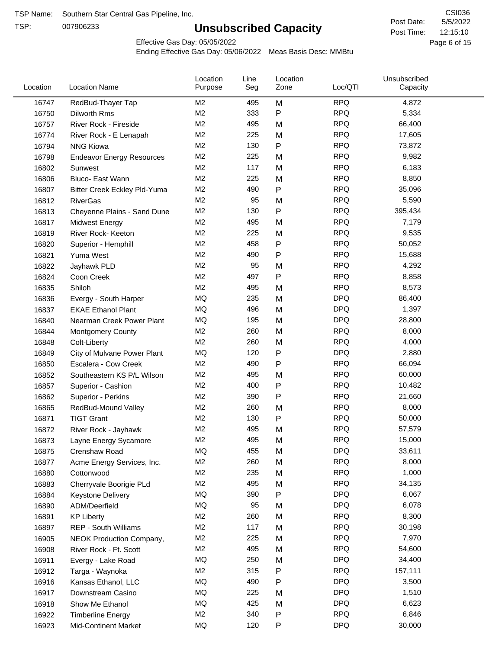TSP:

# **Unsubscribed Capacity**

5/5/2022 Page 6 of 15 12:15:10 CSI036 Post Date: Post Time:

Effective Gas Day: 05/05/2022

| Location | <b>Location Name</b>             | Location<br>Purpose | Line<br>Seg | Location<br>Zone | Loc/QTI    | Unsubscribed<br>Capacity |  |
|----------|----------------------------------|---------------------|-------------|------------------|------------|--------------------------|--|
| 16747    | RedBud-Thayer Tap                | M <sub>2</sub>      | 495         | M                | <b>RPQ</b> | 4,872                    |  |
| 16750    | Dilworth Rms                     | M <sub>2</sub>      | 333         | ${\sf P}$        | <b>RPQ</b> | 5,334                    |  |
| 16757    | River Rock - Fireside            | M <sub>2</sub>      | 495         | M                | <b>RPQ</b> | 66,400                   |  |
| 16774    | River Rock - E Lenapah           | M <sub>2</sub>      | 225         | M                | <b>RPQ</b> | 17,605                   |  |
| 16794    | <b>NNG Kiowa</b>                 | M <sub>2</sub>      | 130         | ${\sf P}$        | <b>RPQ</b> | 73,872                   |  |
| 16798    | <b>Endeavor Energy Resources</b> | M <sub>2</sub>      | 225         | M                | <b>RPQ</b> | 9,982                    |  |
| 16802    | Sunwest                          | M <sub>2</sub>      | 117         | M                | <b>RPQ</b> | 6,183                    |  |
| 16806    | Bluco- East Wann                 | M <sub>2</sub>      | 225         | M                | <b>RPQ</b> | 8,850                    |  |
| 16807    | Bitter Creek Eckley Pld-Yuma     | M2                  | 490         | P                | <b>RPQ</b> | 35,096                   |  |
| 16812    | <b>RiverGas</b>                  | M <sub>2</sub>      | 95          | M                | <b>RPQ</b> | 5,590                    |  |
| 16813    | Cheyenne Plains - Sand Dune      | M <sub>2</sub>      | 130         | ${\sf P}$        | <b>RPQ</b> | 395,434                  |  |
| 16817    | <b>Midwest Energy</b>            | M <sub>2</sub>      | 495         | M                | <b>RPQ</b> | 7,179                    |  |
| 16819    | River Rock- Keeton               | M <sub>2</sub>      | 225         | M                | <b>RPQ</b> | 9,535                    |  |
| 16820    | Superior - Hemphill              | M <sub>2</sub>      | 458         | P                | <b>RPQ</b> | 50,052                   |  |
| 16821    | Yuma West                        | M <sub>2</sub>      | 490         | $\mathsf{P}$     | <b>RPQ</b> | 15,688                   |  |
| 16822    | Jayhawk PLD                      | M <sub>2</sub>      | 95          | M                | <b>RPQ</b> | 4,292                    |  |
| 16824    | Coon Creek                       | M <sub>2</sub>      | 497         | $\mathsf{P}$     | <b>RPQ</b> | 8,858                    |  |
| 16835    | Shiloh                           | M2                  | 495         | M                | <b>RPQ</b> | 8,573                    |  |
| 16836    | Evergy - South Harper            | MQ                  | 235         | M                | <b>DPQ</b> | 86,400                   |  |
| 16837    | <b>EKAE Ethanol Plant</b>        | MQ                  | 496         | M                | <b>DPQ</b> | 1,397                    |  |
| 16840    | Nearman Creek Power Plant        | MQ                  | 195         | M                | <b>DPQ</b> | 28,800                   |  |
| 16844    | <b>Montgomery County</b>         | M <sub>2</sub>      | 260         | M                | <b>RPQ</b> | 8,000                    |  |
| 16848    | Colt-Liberty                     | M2                  | 260         | M                | <b>RPQ</b> | 4,000                    |  |
| 16849    | City of Mulvane Power Plant      | MQ                  | 120         | $\mathsf{P}$     | <b>DPQ</b> | 2,880                    |  |
| 16850    | Escalera - Cow Creek             | M <sub>2</sub>      | 490         | P                | <b>RPQ</b> | 66,094                   |  |
| 16852    | Southeastern KS P/L Wilson       | M <sub>2</sub>      | 495         | M                | <b>RPQ</b> | 60,000                   |  |
| 16857    | Superior - Cashion               | M <sub>2</sub>      | 400         | P                | <b>RPQ</b> | 10,482                   |  |
| 16862    | Superior - Perkins               | M2                  | 390         | P                | <b>RPQ</b> | 21,660                   |  |
| 16865    | RedBud-Mound Valley              | M <sub>2</sub>      | 260         | M                | <b>RPQ</b> | 8,000                    |  |
| 16871    | <b>TIGT Grant</b>                | M <sub>2</sub>      | 130         | Ρ                | <b>RPQ</b> | 50,000                   |  |
| 16872    | River Rock - Jayhawk             | M <sub>2</sub>      | 495         | M                | <b>RPQ</b> | 57,579                   |  |
| 16873    | Layne Energy Sycamore            | M <sub>2</sub>      | 495         | M                | <b>RPQ</b> | 15,000                   |  |
| 16875    | Crenshaw Road                    | MQ                  | 455         | M                | <b>DPQ</b> | 33,611                   |  |
| 16877    | Acme Energy Services, Inc.       | M <sub>2</sub>      | 260         | M                | <b>RPQ</b> | 8,000                    |  |
| 16880    | Cottonwood                       | M <sub>2</sub>      | 235         | M                | <b>RPQ</b> | 1,000                    |  |
| 16883    | Cherryvale Boorigie PLd          | M <sub>2</sub>      | 495         | M                | <b>RPQ</b> | 34,135                   |  |
| 16884    | <b>Keystone Delivery</b>         | MQ                  | 390         | P                | <b>DPQ</b> | 6,067                    |  |
| 16890    | ADM/Deerfield                    | MQ                  | 95          | M                | <b>DPQ</b> | 6,078                    |  |
| 16891    | <b>KP Liberty</b>                | M <sub>2</sub>      | 260         | M                | <b>RPQ</b> | 8,300                    |  |
| 16897    | <b>REP - South Williams</b>      | M <sub>2</sub>      | 117         | M                | <b>RPQ</b> | 30,198                   |  |
| 16905    | NEOK Production Company,         | M <sub>2</sub>      | 225         | M                | <b>RPQ</b> | 7,970                    |  |
| 16908    | River Rock - Ft. Scott           | M <sub>2</sub>      | 495         | M                | <b>RPQ</b> | 54,600                   |  |
| 16911    | Evergy - Lake Road               | MQ                  | 250         | M                | <b>DPQ</b> | 34,400                   |  |
| 16912    | Targa - Waynoka                  | M <sub>2</sub>      | 315         | P                | <b>RPQ</b> | 157,111                  |  |
| 16916    | Kansas Ethanol, LLC              | MQ                  | 490         | P                | <b>DPQ</b> | 3,500                    |  |
| 16917    | Downstream Casino                | MQ                  | 225         | M                | <b>DPQ</b> | 1,510                    |  |
| 16918    | Show Me Ethanol                  | MQ                  | 425         | M                | <b>DPQ</b> | 6,623                    |  |
| 16922    | <b>Timberline Energy</b>         | M <sub>2</sub>      | 340         | P                | <b>RPQ</b> | 6,846                    |  |
| 16923    | <b>Mid-Continent Market</b>      | MQ                  | 120         | P                | <b>DPQ</b> | 30,000                   |  |
|          |                                  |                     |             |                  |            |                          |  |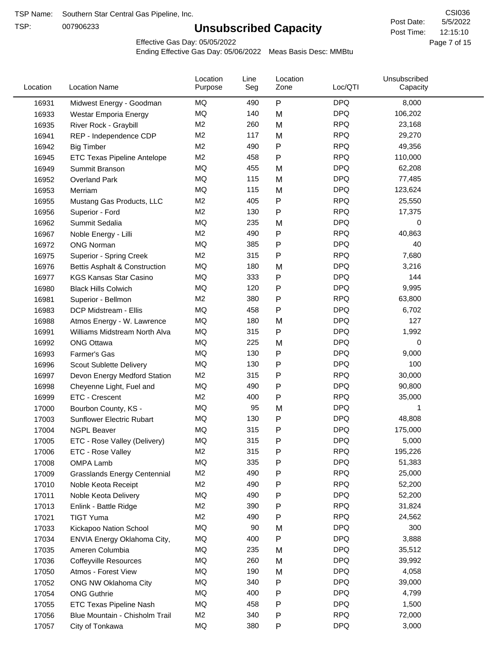TSP:

# **Unsubscribed Capacity**

5/5/2022 Page 7 of 15 12:15:10 CSI036 Post Date: Post Time:

Effective Gas Day: 05/05/2022

| Location | <b>Location Name</b>                | Location<br>Purpose | Line<br>Seg | Location<br>Zone | Loc/QTI    | Unsubscribed<br>Capacity |  |
|----------|-------------------------------------|---------------------|-------------|------------------|------------|--------------------------|--|
| 16931    | Midwest Energy - Goodman            | MQ                  | 490         | $\mathsf{P}$     | <b>DPQ</b> | 8,000                    |  |
| 16933    | Westar Emporia Energy               | MQ                  | 140         | M                | <b>DPQ</b> | 106,202                  |  |
| 16935    | River Rock - Graybill               | M <sub>2</sub>      | 260         | M                | <b>RPQ</b> | 23,168                   |  |
| 16941    | REP - Independence CDP              | M <sub>2</sub>      | 117         | M                | <b>RPQ</b> | 29,270                   |  |
| 16942    | <b>Big Timber</b>                   | M <sub>2</sub>      | 490         | $\mathsf{P}$     | <b>RPQ</b> | 49,356                   |  |
| 16945    | ETC Texas Pipeline Antelope         | M <sub>2</sub>      | 458         | $\mathsf{P}$     | <b>RPQ</b> | 110,000                  |  |
| 16949    | Summit Branson                      | MQ                  | 455         | M                | <b>DPQ</b> | 62,208                   |  |
| 16952    | <b>Overland Park</b>                | MQ                  | 115         | M                | <b>DPQ</b> | 77,485                   |  |
| 16953    | Merriam                             | MQ                  | 115         | M                | <b>DPQ</b> | 123,624                  |  |
| 16955    | Mustang Gas Products, LLC           | M <sub>2</sub>      | 405         | $\mathsf{P}$     | <b>RPQ</b> | 25,550                   |  |
| 16956    | Superior - Ford                     | M <sub>2</sub>      | 130         | $\mathsf{P}$     | <b>RPQ</b> | 17,375                   |  |
| 16962    | Summit Sedalia                      | MQ                  | 235         | M                | <b>DPQ</b> | 0                        |  |
| 16967    | Noble Energy - Lilli                | M <sub>2</sub>      | 490         | P                | <b>RPQ</b> | 40,863                   |  |
| 16972    | <b>ONG Norman</b>                   | MQ                  | 385         | P                | <b>DPQ</b> | 40                       |  |
| 16975    | <b>Superior - Spring Creek</b>      | M <sub>2</sub>      | 315         | $\mathsf{P}$     | <b>RPQ</b> | 7,680                    |  |
| 16976    | Bettis Asphalt & Construction       | MQ                  | 180         | M                | <b>DPQ</b> | 3,216                    |  |
| 16977    | <b>KGS Kansas Star Casino</b>       | MQ                  | 333         | ${\sf P}$        | <b>DPQ</b> | 144                      |  |
| 16980    | <b>Black Hills Colwich</b>          | MQ                  | 120         | P                | <b>DPQ</b> | 9,995                    |  |
| 16981    | Superior - Bellmon                  | M <sub>2</sub>      | 380         | $\mathsf{P}$     | <b>RPQ</b> | 63,800                   |  |
| 16983    | DCP Midstream - Ellis               | MQ                  | 458         | $\mathsf{P}$     | <b>DPQ</b> | 6,702                    |  |
| 16988    | Atmos Energy - W. Lawrence          | MQ                  | 180         | M                | <b>DPQ</b> | 127                      |  |
| 16991    | Williams Midstream North Alva       | <b>MQ</b>           | 315         | $\mathsf{P}$     | <b>DPQ</b> | 1,992                    |  |
| 16992    | <b>ONG Ottawa</b>                   | MQ                  | 225         | M                | <b>DPQ</b> | 0                        |  |
| 16993    | Farmer's Gas                        | MQ                  | 130         | $\mathsf{P}$     | <b>DPQ</b> | 9,000                    |  |
| 16996    | Scout Sublette Delivery             | MQ                  | 130         | $\mathsf{P}$     | <b>DPQ</b> | 100                      |  |
| 16997    | Devon Energy Medford Station        | M <sub>2</sub>      | 315         | $\mathsf{P}$     | <b>RPQ</b> | 30,000                   |  |
| 16998    | Cheyenne Light, Fuel and            | MQ                  | 490         | P                | <b>DPQ</b> | 90,800                   |  |
| 16999    | ETC - Crescent                      | M <sub>2</sub>      | 400         | $\mathsf{P}$     | <b>RPQ</b> | 35,000                   |  |
| 17000    | Bourbon County, KS -                | MQ                  | 95          | M                | <b>DPQ</b> | 1                        |  |
| 17003    | <b>Sunflower Electric Rubart</b>    | MQ                  | 130         | Ρ                | <b>DPQ</b> | 48,808                   |  |
| 17004    | <b>NGPL Beaver</b>                  | MQ                  | 315         | Ρ                | <b>DPQ</b> | 175,000                  |  |
| 17005    | ETC - Rose Valley (Delivery)        | MQ                  | 315         | P                | <b>DPQ</b> | 5,000                    |  |
| 17006    | ETC - Rose Valley                   | M <sub>2</sub>      | 315         | P                | <b>RPQ</b> | 195,226                  |  |
| 17008    | OMPA Lamb                           | MQ                  | 335         | $\mathsf{P}$     | <b>DPQ</b> | 51,383                   |  |
| 17009    | <b>Grasslands Energy Centennial</b> | M <sub>2</sub>      | 490         | $\mathsf{P}$     | <b>RPQ</b> | 25,000                   |  |
| 17010    | Noble Keota Receipt                 | M <sub>2</sub>      | 490         | $\mathsf{P}$     | <b>RPQ</b> | 52,200                   |  |
| 17011    | Noble Keota Delivery                | MQ                  | 490         | $\mathsf{P}$     | <b>DPQ</b> | 52,200                   |  |
| 17013    | Enlink - Battle Ridge               | M <sub>2</sub>      | 390         | $\mathsf{P}$     | <b>RPQ</b> | 31,824                   |  |
| 17021    | <b>TIGT Yuma</b>                    | M <sub>2</sub>      | 490         | Ρ                | <b>RPQ</b> | 24,562                   |  |
| 17033    | Kickapoo Nation School              | MQ                  | 90          | M                | <b>DPQ</b> | 300                      |  |
| 17034    | ENVIA Energy Oklahoma City,         | MQ                  | 400         | $\mathsf{P}$     | <b>DPQ</b> | 3,888                    |  |
| 17035    | Ameren Columbia                     | MQ                  | 235         | M                | <b>DPQ</b> | 35,512                   |  |
| 17036    | <b>Coffeyville Resources</b>        | MQ                  | 260         | M                | <b>DPQ</b> | 39,992                   |  |
| 17050    | Atmos - Forest View                 | MQ                  | 190         | M                | <b>DPQ</b> | 4,058                    |  |
| 17052    | ONG NW Oklahoma City                | MQ                  | 340         | ${\sf P}$        | <b>DPQ</b> | 39,000                   |  |
| 17054    | <b>ONG Guthrie</b>                  | MQ                  | 400         | $\mathsf{P}$     | <b>DPQ</b> | 4,799                    |  |
| 17055    | ETC Texas Pipeline Nash             | MQ                  | 458         | $\mathsf{P}$     | <b>DPQ</b> | 1,500                    |  |
| 17056    | Blue Mountain - Chisholm Trail      | M <sub>2</sub>      | 340         | $\mathsf{P}$     | <b>RPQ</b> | 72,000                   |  |
| 17057    | City of Tonkawa                     | MQ                  | 380         | ${\sf P}$        | <b>DPQ</b> | 3,000                    |  |
|          |                                     |                     |             |                  |            |                          |  |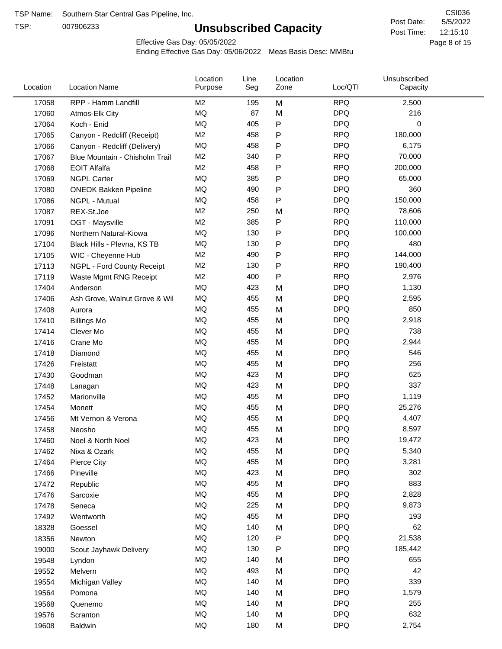TSP:

# **Unsubscribed Capacity**

5/5/2022 Page 8 of 15 12:15:10 CSI036 Post Date: Post Time:

Effective Gas Day: 05/05/2022

| Location | <b>Location Name</b>           | Location<br>Purpose | Line<br>Seg | Location<br>Zone | Loc/QTI    | Unsubscribed<br>Capacity |  |
|----------|--------------------------------|---------------------|-------------|------------------|------------|--------------------------|--|
| 17058    | RPP - Hamm Landfill            | M <sub>2</sub>      | 195         | M                | <b>RPQ</b> | 2,500                    |  |
| 17060    | Atmos-Elk City                 | MQ                  | 87          | M                | <b>DPQ</b> | 216                      |  |
| 17064    | Koch - Enid                    | <b>MQ</b>           | 405         | P                | <b>DPQ</b> | 0                        |  |
| 17065    | Canyon - Redcliff (Receipt)    | M <sub>2</sub>      | 458         | $\mathsf{P}$     | <b>RPQ</b> | 180,000                  |  |
| 17066    | Canyon - Redcliff (Delivery)   | <b>MQ</b>           | 458         | P                | <b>DPQ</b> | 6,175                    |  |
| 17067    | Blue Mountain - Chisholm Trail | M <sub>2</sub>      | 340         | $\mathsf{P}$     | <b>RPQ</b> | 70,000                   |  |
| 17068    | <b>EOIT Alfalfa</b>            | M <sub>2</sub>      | 458         | $\mathsf{P}$     | <b>RPQ</b> | 200,000                  |  |
| 17069    | <b>NGPL Carter</b>             | <b>MQ</b>           | 385         | $\mathsf{P}$     | <b>DPQ</b> | 65,000                   |  |
| 17080    | <b>ONEOK Bakken Pipeline</b>   | MQ                  | 490         | Ρ                | <b>DPQ</b> | 360                      |  |
| 17086    | NGPL - Mutual                  | MQ                  | 458         | ${\sf P}$        | <b>DPQ</b> | 150,000                  |  |
| 17087    | REX-St.Joe                     | M <sub>2</sub>      | 250         | M                | <b>RPQ</b> | 78,606                   |  |
| 17091    | OGT - Maysville                | M <sub>2</sub>      | 385         | P                | <b>RPQ</b> | 110,000                  |  |
| 17096    | Northern Natural-Kiowa         | MQ                  | 130         | P                | <b>DPQ</b> | 100,000                  |  |
| 17104    | Black Hills - Plevna, KS TB    | <b>MQ</b>           | 130         | $\mathsf{P}$     | <b>DPQ</b> | 480                      |  |
| 17105    | WIC - Cheyenne Hub             | M <sub>2</sub>      | 490         | $\mathsf{P}$     | <b>RPQ</b> | 144,000                  |  |
| 17113    | NGPL - Ford County Receipt     | M <sub>2</sub>      | 130         | $\mathsf{P}$     | <b>RPQ</b> | 190,400                  |  |
| 17119    | Waste Mgmt RNG Receipt         | M <sub>2</sub>      | 400         | $\mathsf{P}$     | <b>RPQ</b> | 2,976                    |  |
| 17404    | Anderson                       | MQ                  | 423         | M                | <b>DPQ</b> | 1,130                    |  |
| 17406    | Ash Grove, Walnut Grove & Wil  | MQ                  | 455         | M                | <b>DPQ</b> | 2,595                    |  |
| 17408    | Aurora                         | MQ                  | 455         | M                | <b>DPQ</b> | 850                      |  |
| 17410    | <b>Billings Mo</b>             | <b>MQ</b>           | 455         | M                | <b>DPQ</b> | 2,918                    |  |
| 17414    | Clever Mo                      | MQ                  | 455         | M                | <b>DPQ</b> | 738                      |  |
| 17416    | Crane Mo                       | <b>MQ</b>           | 455         | M                | <b>DPQ</b> | 2,944                    |  |
| 17418    | Diamond                        | MQ                  | 455         | M                | <b>DPQ</b> | 546                      |  |
| 17426    | Freistatt                      | MQ                  | 455         | M                | <b>DPQ</b> | 256                      |  |
| 17430    | Goodman                        | <b>MQ</b>           | 423         | M                | <b>DPQ</b> | 625                      |  |
| 17448    | Lanagan                        | MQ                  | 423         | M                | <b>DPQ</b> | 337                      |  |
| 17452    | Marionville                    | <b>MQ</b>           | 455         | M                | <b>DPQ</b> | 1,119                    |  |
| 17454    | Monett                         | MQ                  | 455         | M                | <b>DPQ</b> | 25,276                   |  |
| 17456    | Mt Vernon & Verona             | MQ                  | 455         | M                | <b>DPQ</b> | 4,407                    |  |
| 17458    | Neosho                         | MQ                  | 455         | M                | <b>DPQ</b> | 8,597                    |  |
| 17460    | Noel & North Noel              | MQ                  | 423         | M                | <b>DPQ</b> | 19,472                   |  |
| 17462    | Nixa & Ozark                   | MQ                  | 455         | M                | <b>DPQ</b> | 5,340                    |  |
| 17464    | Pierce City                    | MQ                  | 455         | M                | <b>DPQ</b> | 3,281                    |  |
| 17466    | Pineville                      | MQ                  | 423         | M                | <b>DPQ</b> | 302                      |  |
| 17472    | Republic                       | MQ                  | 455         | M                | <b>DPQ</b> | 883                      |  |
| 17476    | Sarcoxie                       | MQ                  | 455         | M                | <b>DPQ</b> | 2,828                    |  |
| 17478    | Seneca                         | MQ                  | 225         | M                | <b>DPQ</b> | 9,873                    |  |
| 17492    | Wentworth                      | $\sf{MQ}$           | 455         | M                | <b>DPQ</b> | 193                      |  |
| 18328    | Goessel                        | MQ                  | 140         | M                | <b>DPQ</b> | 62                       |  |
| 18356    | Newton                         | MQ                  | 120         | Ρ                | <b>DPQ</b> | 21,538                   |  |
| 19000    | Scout Jayhawk Delivery         | MQ                  | 130         | P                | <b>DPQ</b> | 185,442                  |  |
| 19548    | Lyndon                         | MQ                  | 140         | M                | <b>DPQ</b> | 655                      |  |
| 19552    | Melvern                        | MQ                  | 493         | M                | <b>DPQ</b> | 42                       |  |
| 19554    | Michigan Valley                | MQ                  | 140         | M                | <b>DPQ</b> | 339                      |  |
| 19564    | Pomona                         | MQ                  | 140         | M                | <b>DPQ</b> | 1,579                    |  |
| 19568    | Quenemo                        | MQ                  | 140         | M                | <b>DPQ</b> | 255                      |  |
| 19576    | Scranton                       | $\sf{MQ}$           | 140         | M                | <b>DPQ</b> | 632                      |  |
| 19608    | Baldwin                        | $\sf{MQ}$           | 180         | M                | <b>DPQ</b> | 2,754                    |  |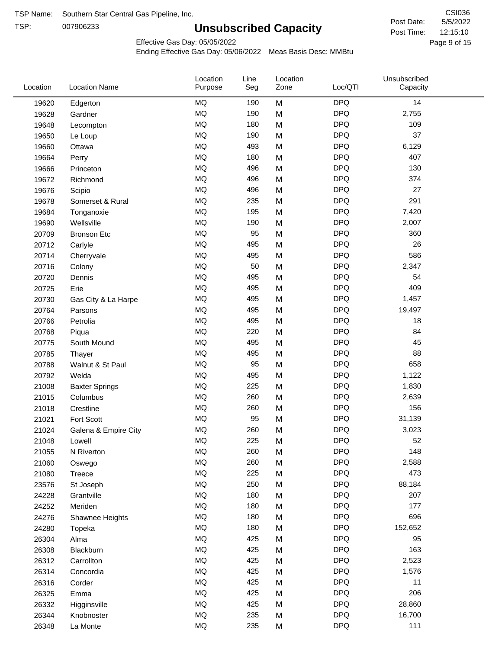TSP:

# **Unsubscribed Capacity**

Effective Gas Day: 05/05/2022

| Location | <b>Location Name</b>  | Location<br>Purpose | Line<br>Seg | Location<br>Zone | Loc/QTI    | Unsubscribed<br>Capacity |  |
|----------|-----------------------|---------------------|-------------|------------------|------------|--------------------------|--|
| 19620    | Edgerton              | <b>MQ</b>           | 190         | M                | <b>DPQ</b> | 14                       |  |
| 19628    | Gardner               | MQ                  | 190         | M                | <b>DPQ</b> | 2,755                    |  |
| 19648    | Lecompton             | <b>MQ</b>           | 180         | M                | <b>DPQ</b> | 109                      |  |
| 19650    | Le Loup               | <b>MQ</b>           | 190         | M                | <b>DPQ</b> | 37                       |  |
| 19660    | Ottawa                | <b>MQ</b>           | 493         | M                | <b>DPQ</b> | 6,129                    |  |
| 19664    | Perry                 | <b>MQ</b>           | 180         | M                | <b>DPQ</b> | 407                      |  |
| 19666    | Princeton             | MQ                  | 496         | M                | <b>DPQ</b> | 130                      |  |
| 19672    | Richmond              | MQ                  | 496         | M                | <b>DPQ</b> | 374                      |  |
| 19676    | Scipio                | MQ                  | 496         | M                | <b>DPQ</b> | 27                       |  |
| 19678    | Somerset & Rural      | MQ                  | 235         | M                | <b>DPQ</b> | 291                      |  |
| 19684    | Tonganoxie            | <b>MQ</b>           | 195         | M                | <b>DPQ</b> | 7,420                    |  |
| 19690    | Wellsville            | <b>MQ</b>           | 190         | M                | <b>DPQ</b> | 2,007                    |  |
| 20709    | <b>Bronson Etc</b>    | <b>MQ</b>           | 95          | M                | <b>DPQ</b> | 360                      |  |
| 20712    | Carlyle               | <b>MQ</b>           | 495         | M                | <b>DPQ</b> | 26                       |  |
| 20714    | Cherryvale            | MQ                  | 495         | M                | <b>DPQ</b> | 586                      |  |
| 20716    | Colony                | MQ                  | 50          | M                | <b>DPQ</b> | 2,347                    |  |
| 20720    | Dennis                | <b>MQ</b>           | 495         | M                | <b>DPQ</b> | 54                       |  |
| 20725    | Erie                  | <b>MQ</b>           | 495         | M                | <b>DPQ</b> | 409                      |  |
| 20730    | Gas City & La Harpe   | <b>MQ</b>           | 495         | M                | <b>DPQ</b> | 1,457                    |  |
| 20764    | Parsons               | <b>MQ</b>           | 495         | M                | <b>DPQ</b> | 19,497                   |  |
| 20766    | Petrolia              | <b>MQ</b>           | 495         | M                | <b>DPQ</b> | 18                       |  |
| 20768    | Piqua                 | <b>MQ</b>           | 220         | M                | <b>DPQ</b> | 84                       |  |
| 20775    | South Mound           | <b>MQ</b>           | 495         | M                | <b>DPQ</b> | 45                       |  |
| 20785    | Thayer                | MQ                  | 495         | M                | <b>DPQ</b> | 88                       |  |
| 20788    | Walnut & St Paul      | <b>MQ</b>           | 95          | M                | <b>DPQ</b> | 658                      |  |
| 20792    | Welda                 | <b>MQ</b>           | 495         | M                | <b>DPQ</b> | 1,122                    |  |
| 21008    | <b>Baxter Springs</b> | <b>MQ</b>           | 225         | M                | <b>DPQ</b> | 1,830                    |  |
| 21015    | Columbus              | <b>MQ</b>           | 260         | M                | <b>DPQ</b> | 2,639                    |  |
| 21018    | Crestline             | <b>MQ</b>           | 260         | M                | <b>DPQ</b> | 156                      |  |
| 21021    | Fort Scott            | <b>MQ</b>           | 95          | M                | <b>DPQ</b> | 31,139                   |  |
| 21024    | Galena & Empire City  | <b>MQ</b>           | 260         | M                | <b>DPQ</b> | 3,023                    |  |
| 21048    | Lowell                | MQ                  | 225         | M                | <b>DPQ</b> | 52                       |  |
| 21055    | N Riverton            | MQ                  | 260         | M                | <b>DPQ</b> | 148                      |  |
| 21060    | Oswego                | $\sf{MQ}$           | 260         | M                | <b>DPQ</b> | 2,588                    |  |
| 21080    | Treece                | <b>MQ</b>           | 225         | M                | <b>DPQ</b> | 473                      |  |
| 23576    | St Joseph             | MQ                  | 250         | M                | <b>DPQ</b> | 88,184                   |  |
| 24228    | Grantville            | MQ                  | 180         | M                | <b>DPQ</b> | 207                      |  |
| 24252    | Meriden               | MQ                  | 180         | M                | <b>DPQ</b> | 177                      |  |
| 24276    | Shawnee Heights       | MQ                  | 180         | M                | <b>DPQ</b> | 696                      |  |
| 24280    | Topeka                | MQ                  | 180         | M                | <b>DPQ</b> | 152,652                  |  |
| 26304    | Alma                  | MQ                  | 425         | M                | <b>DPQ</b> | 95                       |  |
| 26308    | Blackburn             | MQ                  | 425         | M                | <b>DPQ</b> | 163                      |  |
| 26312    | Carrollton            | $\sf{MQ}$           | 425         | M                | <b>DPQ</b> | 2,523                    |  |
| 26314    | Concordia             | MQ                  | 425         | M                | <b>DPQ</b> | 1,576                    |  |
| 26316    | Corder                | MQ                  | 425         | M                | <b>DPQ</b> | 11                       |  |
| 26325    | Emma                  | <b>MQ</b>           | 425         | M                | <b>DPQ</b> | 206                      |  |
| 26332    | Higginsville          | MQ                  | 425         | M                | <b>DPQ</b> | 28,860                   |  |
| 26344    | Knobnoster            | <b>MQ</b>           | 235         | M                | <b>DPQ</b> | 16,700                   |  |
| 26348    | La Monte              | $\sf{MQ}$           | 235         | M                | <b>DPQ</b> | 111                      |  |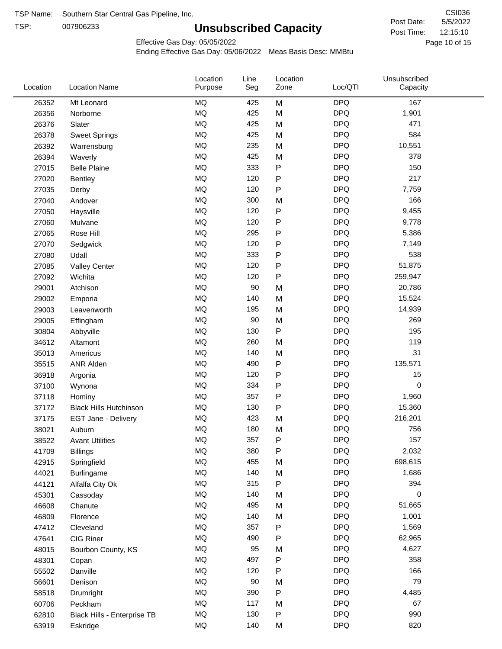TSP:

# **Unsubscribed Capacity**

5/5/2022 Page 10 of 15 12:15:10 CSI036 Post Date: Post Time:

Effective Gas Day: 05/05/2022

| Location | <b>Location Name</b>          | Location<br>Purpose | Line<br>Seg | Location<br>Zone | Loc/QTI    | Unsubscribed<br>Capacity |  |
|----------|-------------------------------|---------------------|-------------|------------------|------------|--------------------------|--|
| 26352    | Mt Leonard                    | <b>MQ</b>           | 425         | M                | <b>DPQ</b> | 167                      |  |
| 26356    | Norborne                      | <b>MQ</b>           | 425         | M                | <b>DPQ</b> | 1,901                    |  |
| 26376    | Slater                        | <b>MQ</b>           | 425         | M                | <b>DPQ</b> | 471                      |  |
| 26378    | <b>Sweet Springs</b>          | <b>MQ</b>           | 425         | M                | <b>DPQ</b> | 584                      |  |
| 26392    | Warrensburg                   | <b>MQ</b>           | 235         | M                | <b>DPQ</b> | 10,551                   |  |
| 26394    | Waverly                       | <b>MQ</b>           | 425         | M                | <b>DPQ</b> | 378                      |  |
| 27015    | <b>Belle Plaine</b>           | MQ                  | 333         | P                | <b>DPQ</b> | 150                      |  |
| 27020    | <b>Bentley</b>                | MQ                  | 120         | P                | <b>DPQ</b> | 217                      |  |
| 27035    | Derby                         | MQ                  | 120         | ${\sf P}$        | <b>DPQ</b> | 7,759                    |  |
| 27040    | Andover                       | <b>MQ</b>           | 300         | M                | <b>DPQ</b> | 166                      |  |
| 27050    | Haysville                     | <b>MQ</b>           | 120         | P                | <b>DPQ</b> | 9,455                    |  |
| 27060    | Mulvane                       | <b>MQ</b>           | 120         | P                | <b>DPQ</b> | 9,778                    |  |
| 27065    | Rose Hill                     | <b>MQ</b>           | 295         | P                | <b>DPQ</b> | 5,386                    |  |
| 27070    | Sedgwick                      | MQ                  | 120         | P                | <b>DPQ</b> | 7,149                    |  |
| 27080    | Udall                         | MQ                  | 333         | P                | <b>DPQ</b> | 538                      |  |
| 27085    | <b>Valley Center</b>          | MQ                  | 120         | P                | <b>DPQ</b> | 51,875                   |  |
| 27092    | Wichita                       | MQ                  | 120         | $\mathsf{P}$     | <b>DPQ</b> | 259,947                  |  |
| 29001    | Atchison                      | MQ                  | 90          | M                | <b>DPQ</b> | 20,786                   |  |
| 29002    | Emporia                       | <b>MQ</b>           | 140         | M                | <b>DPQ</b> | 15,524                   |  |
| 29003    | Leavenworth                   | <b>MQ</b>           | 195         | M                | <b>DPQ</b> | 14,939                   |  |
| 29005    | Effingham                     | MQ                  | 90          | M                | <b>DPQ</b> | 269                      |  |
| 30804    | Abbyville                     | MQ                  | 130         | P                | <b>DPQ</b> | 195                      |  |
| 34612    | Altamont                      | <b>MQ</b>           | 260         | M                | <b>DPQ</b> | 119                      |  |
| 35013    | Americus                      | <b>MQ</b>           | 140         | M                | <b>DPQ</b> | 31                       |  |
| 35515    | <b>ANR Alden</b>              | <b>MQ</b>           | 490         | P                | <b>DPQ</b> | 135,571                  |  |
| 36918    | Argonia                       | MQ                  | 120         | P                | <b>DPQ</b> | 15                       |  |
| 37100    | Wynona                        | MQ                  | 334         | P                | <b>DPQ</b> | 0                        |  |
| 37118    | Hominy                        | MQ                  | 357         | P                | <b>DPQ</b> | 1,960                    |  |
| 37172    | <b>Black Hills Hutchinson</b> | MQ                  | 130         | P                | <b>DPQ</b> | 15,360                   |  |
| 37175    | EGT Jane - Delivery           | MQ                  | 423         | M                | <b>DPQ</b> | 216,201                  |  |
| 38021    | Auburn                        | <b>MQ</b>           | 180         | M                | <b>DPQ</b> | 756                      |  |
| 38522    | <b>Avant Utilities</b>        | MQ                  | 357         | P                | <b>DPQ</b> | 157                      |  |
| 41709    | <b>Billings</b>               | MQ                  | 380         | P                | <b>DPQ</b> | 2,032                    |  |
| 42915    | Springfield                   | $\sf{MQ}$           | 455         | M                | <b>DPQ</b> | 698,615                  |  |
| 44021    | <b>Burlingame</b>             | $\sf{MQ}$           | 140         | M                | <b>DPQ</b> | 1,686                    |  |
| 44121    | Alfalfa City Ok               | MQ                  | 315         | ${\sf P}$        | <b>DPQ</b> | 394                      |  |
| 45301    | Cassoday                      | MQ                  | 140         | M                | <b>DPQ</b> | 0                        |  |
| 46608    | Chanute                       | MQ                  | 495         | M                | <b>DPQ</b> | 51,665                   |  |
| 46809    | Florence                      | MQ                  | 140         | M                | <b>DPQ</b> | 1,001                    |  |
| 47412    | Cleveland                     | MQ                  | 357         | P                | <b>DPQ</b> | 1,569                    |  |
| 47641    | CIG Riner                     | MQ                  | 490         | P                | <b>DPQ</b> | 62,965                   |  |
| 48015    | Bourbon County, KS            | MQ                  | 95          | M                | <b>DPQ</b> | 4,627                    |  |
| 48301    | Copan                         | $\sf{MQ}$           | 497         | ${\sf P}$        | <b>DPQ</b> | 358                      |  |
| 55502    | Danville                      | $\sf{MQ}$           | 120         | P                | <b>DPQ</b> | 166                      |  |
| 56601    | Denison                       | MQ                  | 90          | M                | <b>DPQ</b> | 79                       |  |
| 58518    | Drumright                     | MQ                  | 390         | P                | <b>DPQ</b> | 4,485                    |  |
| 60706    | Peckham                       | MQ                  | 117         | M                | <b>DPQ</b> | 67                       |  |
| 62810    | Black Hills - Enterprise TB   | MQ                  | 130         | P                | <b>DPQ</b> | 990                      |  |
| 63919    | Eskridge                      | $\sf{MQ}$           | 140         | M                | <b>DPQ</b> | 820                      |  |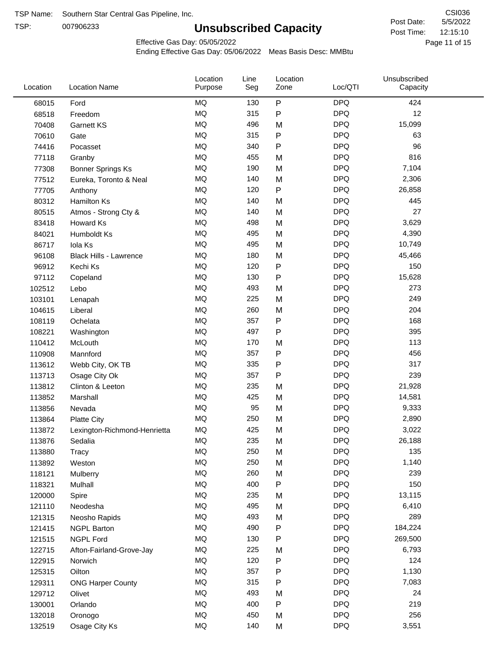TSP:

# **Unsubscribed Capacity**

5/5/2022 Page 11 of 15 12:15:10 CSI036 Post Date: Post Time:

Unsubscribed

Effective Gas Day: 05/05/2022

Location

Ending Effective Gas Day: 05/06/2022 Meas Basis Desc: MMBtu

Line

Location

| Location | <b>Location Name</b>         | Purpose   | Seg | Zone      | Loc/QTI    | Capacity |  |
|----------|------------------------------|-----------|-----|-----------|------------|----------|--|
| 68015    | Ford                         | <b>MQ</b> | 130 | P         | <b>DPQ</b> | 424      |  |
| 68518    | Freedom                      | MQ        | 315 | P         | <b>DPQ</b> | 12       |  |
| 70408    | Garnett KS                   | <b>MQ</b> | 496 | M         | <b>DPQ</b> | 15,099   |  |
| 70610    | Gate                         | MQ        | 315 | P         | <b>DPQ</b> | 63       |  |
| 74416    | Pocasset                     | <b>MQ</b> | 340 | P         | <b>DPQ</b> | 96       |  |
| 77118    | Granby                       | MQ        | 455 | M         | <b>DPQ</b> | 816      |  |
| 77308    | <b>Bonner Springs Ks</b>     | MQ        | 190 | M         | <b>DPQ</b> | 7,104    |  |
| 77512    | Eureka, Toronto & Neal       | MQ        | 140 | M         | <b>DPQ</b> | 2,306    |  |
| 77705    | Anthony                      | MQ        | 120 | P         | <b>DPQ</b> | 26,858   |  |
| 80312    | <b>Hamilton Ks</b>           | MQ        | 140 | M         | <b>DPQ</b> | 445      |  |
| 80515    | Atmos - Strong Cty &         | MQ        | 140 | M         | <b>DPQ</b> | 27       |  |
| 83418    | Howard Ks                    | MQ        | 498 | M         | <b>DPQ</b> | 3,629    |  |
| 84021    | Humboldt Ks                  | MQ        | 495 | M         | <b>DPQ</b> | 4,390    |  |
| 86717    | Iola Ks                      | MQ        | 495 | M         | <b>DPQ</b> | 10,749   |  |
| 96108    | Black Hills - Lawrence       | <b>MQ</b> | 180 | M         | <b>DPQ</b> | 45,466   |  |
| 96912    | Kechi Ks                     | MQ        | 120 | P         | <b>DPQ</b> | 150      |  |
| 97112    | Copeland                     | MQ        | 130 | P         | <b>DPQ</b> | 15,628   |  |
| 102512   | Lebo                         | MQ        | 493 | M         | <b>DPQ</b> | 273      |  |
| 103101   | Lenapah                      | MQ        | 225 | M         | <b>DPQ</b> | 249      |  |
| 104615   | Liberal                      | MQ        | 260 | M         | <b>DPQ</b> | 204      |  |
| 108119   | Ochelata                     | MQ        | 357 | P         | <b>DPQ</b> | 168      |  |
| 108221   | Washington                   | MQ        | 497 | Ρ         | <b>DPQ</b> | 395      |  |
| 110412   | McLouth                      | <b>MQ</b> | 170 | M         | <b>DPQ</b> | 113      |  |
| 110908   | Mannford                     | <b>MQ</b> | 357 | P         | <b>DPQ</b> | 456      |  |
| 113612   | Webb City, OK TB             | MQ        | 335 | ${\sf P}$ | <b>DPQ</b> | 317      |  |
| 113713   | Osage City Ok                | MQ        | 357 | Ρ         | <b>DPQ</b> | 239      |  |
| 113812   | Clinton & Leeton             | MQ        | 235 | M         | <b>DPQ</b> | 21,928   |  |
| 113852   | Marshall                     | MQ        | 425 | M         | <b>DPQ</b> | 14,581   |  |
| 113856   | Nevada                       | MQ        | 95  | M         | <b>DPQ</b> | 9,333    |  |
| 113864   | <b>Platte City</b>           | <b>MQ</b> | 250 | M         | <b>DPQ</b> | 2,890    |  |
| 113872   | Lexington-Richmond-Henrietta | <b>MQ</b> | 425 | M         | <b>DPQ</b> | 3,022    |  |
| 113876   | Sedalia                      | <b>MQ</b> | 235 | M         | <b>DPQ</b> | 26,188   |  |
| 113880   | Tracy                        | $\sf{MQ}$ | 250 | M         | <b>DPQ</b> | 135      |  |
| 113892   | Weston                       | MQ        | 250 | M         | <b>DPQ</b> | 1,140    |  |
| 118121   | Mulberry                     | MQ        | 260 | M         | <b>DPQ</b> | 239      |  |
| 118321   | Mulhall                      | MQ        | 400 | P         | <b>DPQ</b> | 150      |  |
| 120000   | Spire                        | MQ        | 235 | M         | <b>DPQ</b> | 13,115   |  |
| 121110   | Neodesha                     | MQ        | 495 | M         | <b>DPQ</b> | 6,410    |  |
| 121315   | Neosho Rapids                | MQ        | 493 | M         | <b>DPQ</b> | 289      |  |
| 121415   | <b>NGPL Barton</b>           | MQ        | 490 | P         | <b>DPQ</b> | 184,224  |  |
| 121515   | <b>NGPL Ford</b>             | MQ        | 130 | P         | <b>DPQ</b> | 269,500  |  |
| 122715   | Afton-Fairland-Grove-Jay     | $\sf{MQ}$ | 225 | M         | <b>DPQ</b> | 6,793    |  |
| 122915   | Norwich                      | MQ        | 120 | P         | <b>DPQ</b> | 124      |  |
| 125315   | Oilton                       | MQ        | 357 | P         | <b>DPQ</b> | 1,130    |  |
| 129311   | <b>ONG Harper County</b>     | MQ        | 315 | P         | <b>DPQ</b> | 7,083    |  |
| 129712   | Olivet                       | MQ        | 493 | M         | <b>DPQ</b> | 24       |  |
| 130001   | Orlando                      | MQ        | 400 | P         | <b>DPQ</b> | 219      |  |
| 132018   | Oronogo                      | MQ        | 450 | M         | <b>DPQ</b> | 256      |  |
| 132519   | Osage City Ks                | MQ        | 140 | М         | <b>DPQ</b> | 3,551    |  |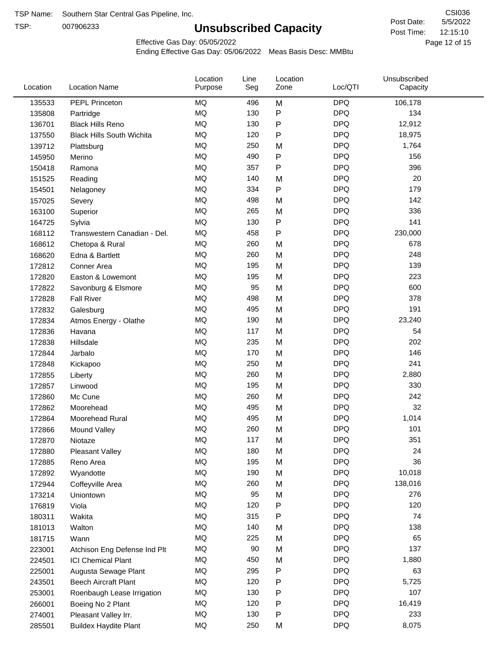TSP:

# **Unsubscribed Capacity**

5/5/2022 Page 12 of 15 12:15:10 CSI036 Post Date: Post Time:

Effective Gas Day: 05/05/2022

| Location | <b>Location Name</b>             | Location<br>Purpose | Line<br>Seg | Location<br>Zone | Loc/QTI    | Unsubscribed<br>Capacity |  |
|----------|----------------------------------|---------------------|-------------|------------------|------------|--------------------------|--|
| 135533   | <b>PEPL Princeton</b>            | <b>MQ</b>           | 496         | M                | <b>DPQ</b> | 106,178                  |  |
| 135808   | Partridge                        | MQ                  | 130         | P                | <b>DPQ</b> | 134                      |  |
| 136701   | <b>Black Hills Reno</b>          | <b>MQ</b>           | 130         | P                | <b>DPQ</b> | 12,912                   |  |
| 137550   | <b>Black Hills South Wichita</b> | <b>MQ</b>           | 120         | P                | <b>DPQ</b> | 18,975                   |  |
| 139712   | Plattsburg                       | <b>MQ</b>           | 250         | M                | <b>DPQ</b> | 1,764                    |  |
| 145950   | Merino                           | <b>MQ</b>           | 490         | P                | <b>DPQ</b> | 156                      |  |
| 150418   | Ramona                           | MQ                  | 357         | $\mathsf{P}$     | <b>DPQ</b> | 396                      |  |
| 151525   | Reading                          | <b>MQ</b>           | 140         | M                | <b>DPQ</b> | 20                       |  |
| 154501   | Nelagoney                        | <b>MQ</b>           | 334         | P                | <b>DPQ</b> | 179                      |  |
| 157025   | Severy                           | <b>MQ</b>           | 498         | M                | <b>DPQ</b> | 142                      |  |
| 163100   | Superior                         | MQ                  | 265         | M                | <b>DPQ</b> | 336                      |  |
| 164725   | Sylvia                           | <b>MQ</b>           | 130         | P                | <b>DPQ</b> | 141                      |  |
| 168112   | Transwestern Canadian - Del.     | MQ                  | 458         | P                | <b>DPQ</b> | 230,000                  |  |
| 168612   | Chetopa & Rural                  | <b>MQ</b>           | 260         | M                | <b>DPQ</b> | 678                      |  |
| 168620   | Edna & Bartlett                  | <b>MQ</b>           | 260         | M                | <b>DPQ</b> | 248                      |  |
| 172812   | Conner Area                      | MQ                  | 195         | M                | <b>DPQ</b> | 139                      |  |
| 172820   | Easton & Lowemont                | <b>MQ</b>           | 195         | M                | <b>DPQ</b> | 223                      |  |
| 172822   | Savonburg & Elsmore              | <b>MQ</b>           | 95          | M                | <b>DPQ</b> | 600                      |  |
| 172828   | <b>Fall River</b>                | <b>MQ</b>           | 498         | M                | <b>DPQ</b> | 378                      |  |
| 172832   | Galesburg                        | <b>MQ</b>           | 495         | M                | <b>DPQ</b> | 191                      |  |
| 172834   | Atmos Energy - Olathe            | MQ                  | 190         | M                | <b>DPQ</b> | 23,240                   |  |
| 172836   | Havana                           | <b>MQ</b>           | 117         | M                | <b>DPQ</b> | 54                       |  |
| 172838   | Hillsdale                        | <b>MQ</b>           | 235         | M                | <b>DPQ</b> | 202                      |  |
| 172844   | Jarbalo                          | <b>MQ</b>           | 170         | M                | <b>DPQ</b> | 146                      |  |
| 172848   | Kickapoo                         | <b>MQ</b>           | 250         | M                | <b>DPQ</b> | 241                      |  |
| 172855   | Liberty                          | <b>MQ</b>           | 260         | M                | <b>DPQ</b> | 2,880                    |  |
| 172857   | Linwood                          | <b>MQ</b>           | 195         | M                | <b>DPQ</b> | 330                      |  |
| 172860   | Mc Cune                          | <b>MQ</b>           | 260         | M                | <b>DPQ</b> | 242                      |  |
| 172862   | Moorehead                        | MQ                  | 495         | M                | <b>DPQ</b> | 32                       |  |
| 172864   | Moorehead Rural                  | MQ                  | 495         | M                | <b>DPQ</b> | 1,014                    |  |
| 172866   | Mound Valley                     | MQ                  | 260         | M                | <b>DPQ</b> | 101                      |  |
| 172870   | Niotaze                          | MQ                  | 117         | M                | <b>DPQ</b> | 351                      |  |
| 172880   | Pleasant Valley                  | MQ                  | 180         | M                | <b>DPQ</b> | 24                       |  |
| 172885   | Reno Area                        | MQ                  | 195         | M                | <b>DPQ</b> | 36                       |  |
| 172892   | Wyandotte                        | MQ                  | 190         | M                | <b>DPQ</b> | 10,018                   |  |
| 172944   | Coffeyville Area                 | MQ                  | 260         | M                | <b>DPQ</b> | 138,016                  |  |
| 173214   | Uniontown                        | MQ                  | 95          | M                | <b>DPQ</b> | 276                      |  |
| 176819   | Viola                            | MQ                  | 120         | Ρ                | <b>DPQ</b> | 120                      |  |
| 180311   | Wakita                           | $\sf{MQ}$           | 315         | Ρ                | <b>DPQ</b> | 74                       |  |
| 181013   | Walton                           | MQ                  | 140         | M                | <b>DPQ</b> | 138                      |  |
| 181715   | Wann                             | MQ                  | 225         | M                | <b>DPQ</b> | 65                       |  |
| 223001   | Atchison Eng Defense Ind Plt     | MQ                  | 90          | M                | <b>DPQ</b> | 137                      |  |
| 224501   | <b>ICI Chemical Plant</b>        | MQ                  | 450         | M                | <b>DPQ</b> | 1,880                    |  |
| 225001   | Augusta Sewage Plant             | MQ                  | 295         | P                | <b>DPQ</b> | 63                       |  |
| 243501   | <b>Beech Aircraft Plant</b>      | MQ                  | 120         | P                | <b>DPQ</b> | 5,725                    |  |
| 253001   | Roenbaugh Lease Irrigation       | MQ                  | 130         | P                | <b>DPQ</b> | 107                      |  |
| 266001   | Boeing No 2 Plant                | MQ                  | 120         | Ρ                | <b>DPQ</b> | 16,419                   |  |
| 274001   | Pleasant Valley Irr.             | MQ                  | 130         | P                | <b>DPQ</b> | 233                      |  |
| 285501   | <b>Buildex Haydite Plant</b>     | MQ                  | 250         | M                | <b>DPQ</b> | 8,075                    |  |
|          |                                  |                     |             |                  |            |                          |  |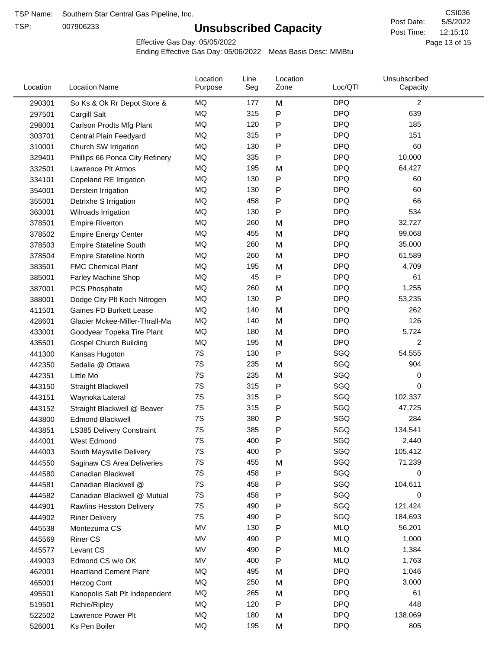TSP:

# **Unsubscribed Capacity**

5/5/2022 Page 13 of 15 12:15:10 CSI036 Post Date: Post Time:

Effective Gas Day: 05/05/2022

| Location | <b>Location Name</b>            | Location<br>Purpose | Line<br>Seg | Location<br>Zone | Loc/QTI    | Unsubscribed<br>Capacity |  |
|----------|---------------------------------|---------------------|-------------|------------------|------------|--------------------------|--|
| 290301   | So Ks & Ok Rr Depot Store &     | MQ                  | 177         | M                | <b>DPQ</b> | $\overline{2}$           |  |
| 297501   | Cargill Salt                    | MQ                  | 315         | Ρ                | <b>DPQ</b> | 639                      |  |
| 298001   | Carlson Prodts Mfg Plant        | MQ                  | 120         | P                | <b>DPQ</b> | 185                      |  |
| 303701   | Central Plain Feedyard          | MQ                  | 315         | Ρ                | <b>DPQ</b> | 151                      |  |
| 310001   | Church SW Irrigation            | MQ                  | 130         | Ρ                | <b>DPQ</b> | 60                       |  |
| 329401   | Phillips 66 Ponca City Refinery | MQ                  | 335         | Ρ                | <b>DPQ</b> | 10,000                   |  |
| 332501   | Lawrence Plt Atmos              | MQ                  | 195         | M                | <b>DPQ</b> | 64,427                   |  |
| 334101   | Copeland RE Irrigation          | MQ                  | 130         | P                | <b>DPQ</b> | 60                       |  |
| 354001   | Derstein Irrigation             | MQ                  | 130         | Ρ                | <b>DPQ</b> | 60                       |  |
| 355001   | Detrixhe S Irrigation           | MQ                  | 458         | P                | <b>DPQ</b> | 66                       |  |
| 363001   | Wilroads Irrigation             | MQ                  | 130         | Ρ                | <b>DPQ</b> | 534                      |  |
| 378501   | <b>Empire Riverton</b>          | MQ                  | 260         | M                | <b>DPQ</b> | 32,727                   |  |
| 378502   | <b>Empire Energy Center</b>     | MQ                  | 455         | M                | <b>DPQ</b> | 99,068                   |  |
| 378503   | <b>Empire Stateline South</b>   | MQ                  | 260         | M                | <b>DPQ</b> | 35,000                   |  |
| 378504   | <b>Empire Stateline North</b>   | MQ                  | 260         | M                | <b>DPQ</b> | 61,589                   |  |
| 383501   | <b>FMC Chemical Plant</b>       | MQ                  | 195         | M                | <b>DPQ</b> | 4,709                    |  |
| 385001   | <b>Farley Machine Shop</b>      | MQ                  | 45          | P                | <b>DPQ</b> | 61                       |  |
| 387001   | PCS Phosphate                   | MQ                  | 260         | M                | <b>DPQ</b> | 1,255                    |  |
| 388001   | Dodge City Plt Koch Nitrogen    | MQ                  | 130         | P                | <b>DPQ</b> | 53,235                   |  |
| 411501   | Gaines FD Burkett Lease         | MQ                  | 140         | M                | <b>DPQ</b> | 262                      |  |
| 428601   | Glacier Mckee-Miller-Thrall-Ma  | MQ                  | 140         | M                | <b>DPQ</b> | 126                      |  |
| 433001   | Goodyear Topeka Tire Plant      | <b>MQ</b>           | 180         | M                | <b>DPQ</b> | 5,724                    |  |
| 435501   | <b>Gospel Church Building</b>   | MQ                  | 195         | M                | <b>DPQ</b> | 2                        |  |
| 441300   | Kansas Hugoton                  | 7S                  | 130         | Ρ                | SGQ        | 54,555                   |  |
| 442350   | Sedalia @ Ottawa                | 7S                  | 235         | M                | SGQ        | 904                      |  |
| 442351   | Little Mo                       | 7S                  | 235         | M                | SGQ        | 0                        |  |
| 443150   | Straight Blackwell              | 7S                  | 315         | Ρ                | SGQ        | 0                        |  |
| 443151   | Waynoka Lateral                 | 7S                  | 315         | Ρ                | SGQ        | 102,337                  |  |
| 443152   | Straight Blackwell @ Beaver     | 7S                  | 315         | Ρ                | SGQ        | 47,725                   |  |
| 443800   | <b>Edmond Blackwell</b>         | 7S                  | 380         | Ρ                | SGQ        | 284                      |  |
| 443851   | LS385 Delivery Constraint       | 7S                  | 385         | Ρ                | SGQ        | 134,541                  |  |
| 444001   | West Edmond                     | 7S                  | 400         | Ρ                | SGQ        | 2,440                    |  |
| 444003   | South Maysville Delivery        | 7S                  | 400         | P                | SGQ        | 105,412                  |  |
| 444550   | Saginaw CS Area Deliveries      | 7S                  | 455         | M                | SGQ        | 71,239                   |  |
| 444580   | Canadian Blackwell              | 7S                  | 458         | P                | SGQ        | 0                        |  |
| 444581   | Canadian Blackwell @            | 7S                  | 458         | Ρ                | SGQ        | 104,611                  |  |
| 444582   | Canadian Blackwell @ Mutual     | 7S                  | 458         | Ρ                | SGQ        | 0                        |  |
| 444901   | Rawlins Hesston Delivery        | 7S                  | 490         | Ρ                | SGQ        | 121,424                  |  |
| 444902   | <b>Riner Delivery</b>           | 7S                  | 490         | Ρ                | SGQ        | 184,693                  |  |
| 445538   | Montezuma CS                    | MV                  | 130         | Ρ                | <b>MLQ</b> | 56,201                   |  |
| 445569   | <b>Riner CS</b>                 | MV                  | 490         | Ρ                | <b>MLQ</b> | 1,000                    |  |
| 445577   | Levant CS                       | MV                  | 490         | Ρ                | <b>MLQ</b> | 1,384                    |  |
| 449003   | Edmond CS w/o OK                | MV                  | 400         | Ρ                | <b>MLQ</b> | 1,763                    |  |
| 462001   | <b>Heartland Cement Plant</b>   | MQ                  | 495         | M                | <b>DPQ</b> | 1,046                    |  |
| 465001   | Herzog Cont                     | MQ                  | 250         | M                | <b>DPQ</b> | 3,000                    |  |
| 495501   | Kanopolis Salt Plt Independent  | MQ                  | 265         | M                | <b>DPQ</b> | 61                       |  |
| 519501   | Richie/Ripley                   | MQ                  | 120         | P                | <b>DPQ</b> | 448                      |  |
| 522502   | Lawrence Power Plt              | MQ                  | 180         | M                | <b>DPQ</b> | 138,069                  |  |
| 526001   | Ks Pen Boiler                   | MQ                  | 195         | M                | <b>DPQ</b> | 805                      |  |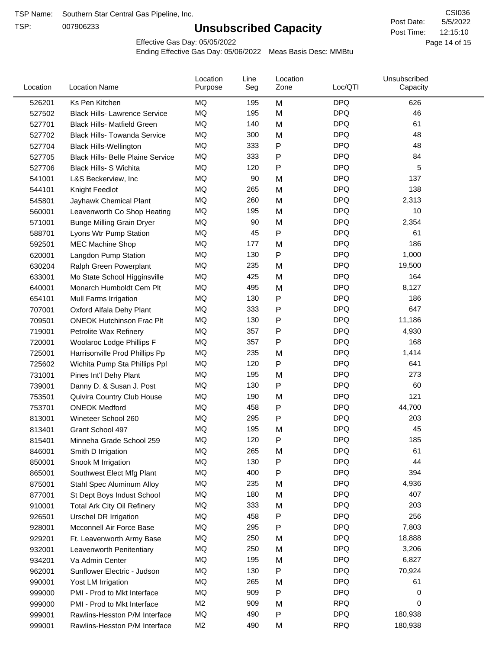TSP:

# **Unsubscribed Capacity**

5/5/2022 Page 14 of 15 12:15:10 CSI036 Post Date: Post Time:

Effective Gas Day: 05/05/2022

| Location | <b>Location Name</b>                     | Location<br>Purpose | Line<br>Seg | Location<br>Zone | Loc/QTI    | Unsubscribed<br>Capacity |  |
|----------|------------------------------------------|---------------------|-------------|------------------|------------|--------------------------|--|
| 526201   | Ks Pen Kitchen                           | MQ                  | 195         | M                | <b>DPQ</b> | 626                      |  |
| 527502   | <b>Black Hills- Lawrence Service</b>     | MQ                  | 195         | M                | <b>DPQ</b> | 46                       |  |
| 527701   | <b>Black Hills- Matfield Green</b>       | MQ                  | 140         | M                | <b>DPQ</b> | 61                       |  |
| 527702   | <b>Black Hills- Towanda Service</b>      | MQ                  | 300         | M                | <b>DPQ</b> | 48                       |  |
| 527704   | <b>Black Hills-Wellington</b>            | MQ                  | 333         | Ρ                | <b>DPQ</b> | 48                       |  |
| 527705   | <b>Black Hills- Belle Plaine Service</b> | MQ                  | 333         | Ρ                | <b>DPQ</b> | 84                       |  |
| 527706   | Black Hills- S Wichita                   | MQ                  | 120         | Ρ                | <b>DPQ</b> | 5                        |  |
| 541001   | L&S Beckerview, Inc                      | MQ                  | 90          | M                | <b>DPQ</b> | 137                      |  |
| 544101   | Knight Feedlot                           | MQ                  | 265         | M                | <b>DPQ</b> | 138                      |  |
| 545801   | Jayhawk Chemical Plant                   | MQ                  | 260         | M                | <b>DPQ</b> | 2,313                    |  |
| 560001   | Leavenworth Co Shop Heating              | MQ                  | 195         | M                | <b>DPQ</b> | 10                       |  |
| 571001   | <b>Bunge Milling Grain Dryer</b>         | MQ                  | 90          | M                | <b>DPQ</b> | 2,354                    |  |
| 588701   | Lyons Wtr Pump Station                   | MQ                  | 45          | P                | <b>DPQ</b> | 61                       |  |
| 592501   | <b>MEC Machine Shop</b>                  | MQ                  | 177         | M                | <b>DPQ</b> | 186                      |  |
| 620001   | Langdon Pump Station                     | MQ                  | 130         | P                | <b>DPQ</b> | 1,000                    |  |
| 630204   | Ralph Green Powerplant                   | MQ                  | 235         | M                | <b>DPQ</b> | 19,500                   |  |
| 633001   | Mo State School Higginsville             | MQ                  | 425         | M                | <b>DPQ</b> | 164                      |  |
| 640001   | Monarch Humboldt Cem Plt                 | MQ                  | 495         | M                | <b>DPQ</b> | 8,127                    |  |
| 654101   | Mull Farms Irrigation                    | MQ                  | 130         | P                | <b>DPQ</b> | 186                      |  |
| 707001   | Oxford Alfala Dehy Plant                 | MQ                  | 333         | P                | <b>DPQ</b> | 647                      |  |
| 709501   | <b>ONEOK Hutchinson Frac Plt</b>         | MQ                  | 130         | Ρ                | <b>DPQ</b> | 11,186                   |  |
| 719001   | Petrolite Wax Refinery                   | <b>MQ</b>           | 357         | P                | <b>DPQ</b> | 4,930                    |  |
| 720001   | Woolaroc Lodge Phillips F                | MQ                  | 357         | Ρ                | <b>DPQ</b> | 168                      |  |
| 725001   | Harrisonville Prod Phillips Pp           | MQ                  | 235         | M                | <b>DPQ</b> | 1,414                    |  |
| 725602   | Wichita Pump Sta Phillips Ppl            | MQ                  | 120         | P                | <b>DPQ</b> | 641                      |  |
| 731001   | Pines Int'l Dehy Plant                   | MQ                  | 195         | M                | <b>DPQ</b> | 273                      |  |
| 739001   | Danny D. & Susan J. Post                 | MQ                  | 130         | P                | <b>DPQ</b> | 60                       |  |
| 753501   | Quivira Country Club House               | MQ                  | 190         | M                | <b>DPQ</b> | 121                      |  |
| 753701   | <b>ONEOK Medford</b>                     | MQ                  | 458         | P                | <b>DPQ</b> | 44,700                   |  |
| 813001   | Wineteer School 260                      | MQ                  | 295         | Ρ                | <b>DPQ</b> | 203                      |  |
| 813401   | Grant School 497                         | MQ                  | 195         | M                | <b>DPQ</b> | 45                       |  |
| 815401   | Minneha Grade School 259                 | MQ                  | 120         | Ρ                | <b>DPQ</b> | 185                      |  |
| 846001   | Smith D Irrigation                       | MQ                  | 265         | M                | <b>DPQ</b> | 61                       |  |
| 850001   | Snook M Irrigation                       | MQ                  | 130         | P                | <b>DPQ</b> | 44                       |  |
| 865001   | Southwest Elect Mfg Plant                | MQ                  | 400         | P                | <b>DPQ</b> | 394                      |  |
| 875001   | Stahl Spec Aluminum Alloy                | MQ                  | 235         | M                | <b>DPQ</b> | 4,936                    |  |
| 877001   | St Dept Boys Indust School               | MQ                  | 180         | M                | <b>DPQ</b> | 407                      |  |
| 910001   | <b>Total Ark City Oil Refinery</b>       | MQ                  | 333         | M                | <b>DPQ</b> | 203                      |  |
| 926501   | <b>Urschel DR Irrigation</b>             | MQ                  | 458         | Ρ                | <b>DPQ</b> | 256                      |  |
| 928001   | Mcconnell Air Force Base                 | MQ                  | 295         | P                | <b>DPQ</b> | 7,803                    |  |
| 929201   | Ft. Leavenworth Army Base                | MQ                  | 250         | M                | <b>DPQ</b> | 18,888                   |  |
| 932001   | Leavenworth Penitentiary                 | MQ                  | 250         | M                | <b>DPQ</b> | 3,206                    |  |
| 934201   | Va Admin Center                          | MQ                  | 195         | M                | <b>DPQ</b> | 6,827                    |  |
| 962001   | Sunflower Electric - Judson              | MQ                  | 130         | Ρ                | <b>DPQ</b> | 70,924                   |  |
| 990001   | Yost LM Irrigation                       | MQ                  | 265         | M                | <b>DPQ</b> | 61                       |  |
| 999000   | PMI - Prod to Mkt Interface              | MQ                  | 909         | Ρ                | <b>DPQ</b> | 0                        |  |
| 999000   | PMI - Prod to Mkt Interface              | M <sub>2</sub>      | 909         | M                | <b>RPQ</b> | 0                        |  |
| 999001   | Rawlins-Hesston P/M Interface            | MQ                  | 490         | P                | <b>DPQ</b> | 180,938                  |  |
| 999001   | Rawlins-Hesston P/M Interface            | M <sub>2</sub>      | 490         | Μ                | $R$ P $Q$  | 180,938                  |  |
|          |                                          |                     |             |                  |            |                          |  |